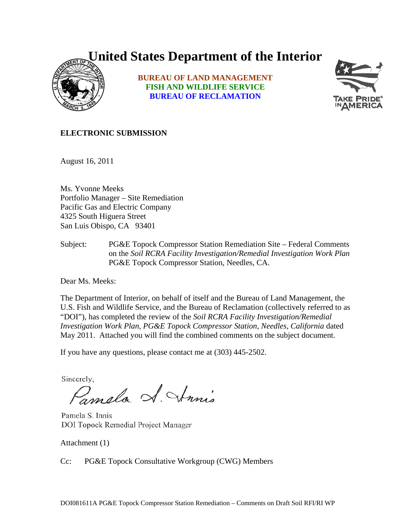# **United States Department of the Interior**



**BUREAU OF LAND MANAGEMENT FISH AND WILDLIFE SERVICE BUREAU OF RECLAMATION**



#### **ELECTRONIC SUBMISSION**

August 16, 2011

Ms. Yvonne Meeks Portfolio Manager – Site Remediation Pacific Gas and Electric Company 4325 South Higuera Street San Luis Obispo, CA 93401

Subject: PG&E Topock Compressor Station Remediation Site – Federal Comments on the *Soil RCRA Facility Investigation/Remedial Investigation Work Plan*  PG&E Topock Compressor Station, Needles, CA.

Dear Ms. Meeks:

The Department of Interior, on behalf of itself and the Bureau of Land Management, the U.S. Fish and Wildlife Service, and the Bureau of Reclamation (collectively referred to as "DOI"), has completed the review of the *Soil RCRA Facility Investigation/Remedial Investigation Work Plan, PG&E Topock Compressor Station, Needles, California* dated May 2011. Attached you will find the combined comments on the subject document.

If you have any questions, please contact me at (303) 445-2502.

Sincerely,

Pampla S. Strinis

Pamela S. Innis DOI Topock Remedial Project Manager

Attachment (1)

Cc: PG&E Topock Consultative Workgroup (CWG) Members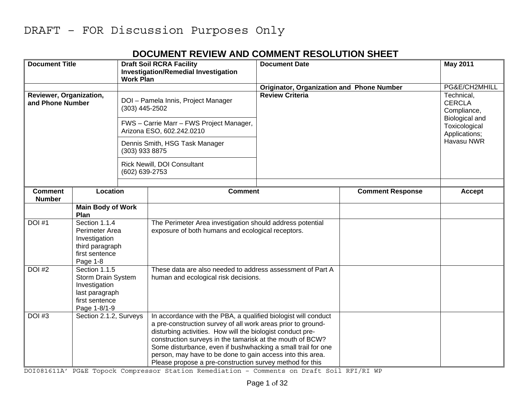#### **DOCUMENT REVIEW AND COMMENT RESOLUTION SHEET**

| <b>Document Title</b>           |                                                                 | <b>Work Plan</b>            | <b>Draft Soil RCRA Facility</b><br><b>Investigation/Remedial Investigation</b>                                                 | <b>Document Date</b>                             |                         | <b>May 2011</b>                                                |
|---------------------------------|-----------------------------------------------------------------|-----------------------------|--------------------------------------------------------------------------------------------------------------------------------|--------------------------------------------------|-------------------------|----------------------------------------------------------------|
|                                 |                                                                 |                             |                                                                                                                                | <b>Originator, Organization and Phone Number</b> |                         | PG&E/CH2MHILL                                                  |
|                                 | Reviewer, Organization,<br>and Phone Number<br>$(303)$ 445-2502 |                             | DOI - Pamela Innis, Project Manager                                                                                            | <b>Review Criteria</b>                           |                         |                                                                |
|                                 |                                                                 |                             | FWS - Carrie Marr - FWS Project Manager,<br>Arizona ESO, 602.242.0210                                                          |                                                  |                         | Biological and<br>Toxicological<br>Applications;<br>Havasu NWR |
|                                 |                                                                 | (303) 933 8875              | Dennis Smith, HSG Task Manager                                                                                                 |                                                  |                         |                                                                |
| (602) 639-2753                  |                                                                 | Rick Newill, DOI Consultant |                                                                                                                                |                                                  |                         |                                                                |
|                                 |                                                                 |                             |                                                                                                                                |                                                  |                         |                                                                |
| <b>Comment</b><br><b>Number</b> | Location                                                        |                             | <b>Comment</b>                                                                                                                 |                                                  | <b>Comment Response</b> | Accept                                                         |
|                                 | <b>Main Body of Work</b><br>Plan                                |                             |                                                                                                                                |                                                  |                         |                                                                |
| <b>DOI #1</b>                   | Section 1.1.4                                                   |                             | The Perimeter Area investigation should address potential                                                                      |                                                  |                         |                                                                |
|                                 | Perimeter Area                                                  |                             | exposure of both humans and ecological receptors.                                                                              |                                                  |                         |                                                                |
|                                 | Investigation<br>third paragraph                                |                             |                                                                                                                                |                                                  |                         |                                                                |
|                                 |                                                                 |                             |                                                                                                                                |                                                  |                         |                                                                |
|                                 | first sentence<br>Page 1-8                                      |                             |                                                                                                                                |                                                  |                         |                                                                |
| <b>DOI #2</b>                   | Section 1.1.5                                                   |                             | These data are also needed to address assessment of Part A                                                                     |                                                  |                         |                                                                |
|                                 | Storm Drain System                                              |                             | human and ecological risk decisions.                                                                                           |                                                  |                         |                                                                |
|                                 | Investigation                                                   |                             |                                                                                                                                |                                                  |                         |                                                                |
|                                 | last paragraph                                                  |                             |                                                                                                                                |                                                  |                         |                                                                |
|                                 | first sentence                                                  |                             |                                                                                                                                |                                                  |                         |                                                                |
| <b>DOI #3</b>                   | Page 1-8/1-9                                                    |                             |                                                                                                                                |                                                  |                         |                                                                |
|                                 | Section 2.1.2, Surveys                                          |                             | In accordance with the PBA, a qualified biologist will conduct<br>a pre-construction survey of all work areas prior to ground- |                                                  |                         |                                                                |
|                                 |                                                                 |                             | disturbing activities. How will the biologist conduct pre-                                                                     |                                                  |                         |                                                                |
|                                 |                                                                 |                             | construction surveys in the tamarisk at the mouth of BCW?                                                                      |                                                  |                         |                                                                |
|                                 |                                                                 |                             | Some disturbance, even if bushwhacking a small trail for one                                                                   |                                                  |                         |                                                                |
|                                 |                                                                 |                             | person, may have to be done to gain access into this area.                                                                     |                                                  |                         |                                                                |
|                                 |                                                                 |                             | Please propose a pre-construction survey method for this                                                                       |                                                  |                         |                                                                |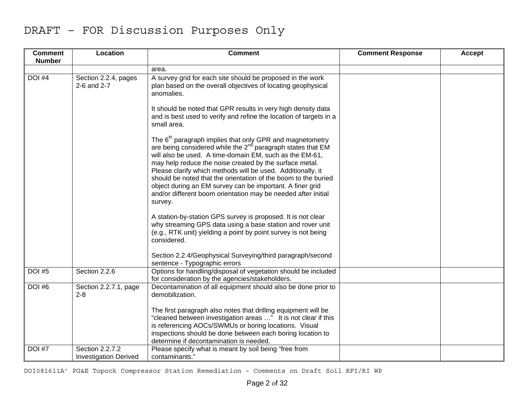| <b>Comment</b><br><b>Number</b> | Location                                        | <b>Comment</b>                                                                                                                                                                                                                                                                                                                                                                                                                                                                                                                           | <b>Comment Response</b> | <b>Accept</b> |
|---------------------------------|-------------------------------------------------|------------------------------------------------------------------------------------------------------------------------------------------------------------------------------------------------------------------------------------------------------------------------------------------------------------------------------------------------------------------------------------------------------------------------------------------------------------------------------------------------------------------------------------------|-------------------------|---------------|
|                                 |                                                 | area.                                                                                                                                                                                                                                                                                                                                                                                                                                                                                                                                    |                         |               |
| DOI #4                          | Section 2.2.4, pages<br>2-6 and 2-7             | A survey grid for each site should be proposed in the work<br>plan based on the overall objectives of locating geophysical<br>anomalies.                                                                                                                                                                                                                                                                                                                                                                                                 |                         |               |
|                                 |                                                 | It should be noted that GPR results in very high density data<br>and is best used to verify and refine the location of targets in a<br>small area.                                                                                                                                                                                                                                                                                                                                                                                       |                         |               |
|                                 |                                                 | The 6 <sup>th</sup> paragraph implies that only GPR and magnetometry<br>are being considered while the $2^{nd}$ paragraph states that EM<br>will also be used. A time-domain EM, such as the EM-61,<br>may help reduce the noise created by the surface metal.<br>Please clarify which methods will be used. Additionally, it<br>should be noted that the orientation of the boom to the buried<br>object during an EM survey can be important. A finer grid<br>and/or different boom orientation may be needed after initial<br>survey. |                         |               |
|                                 |                                                 | A station-by-station GPS survey is proposed. It is not clear<br>why streaming GPS data using a base station and rover unit<br>(e.g., RTK unit) yielding a point by point survey is not being<br>considered.                                                                                                                                                                                                                                                                                                                              |                         |               |
|                                 |                                                 | Section 2.2.4/Geophysical Surveying/third paragraph/second<br>sentence - Typographic errors                                                                                                                                                                                                                                                                                                                                                                                                                                              |                         |               |
| <b>DOI #5</b>                   | Section 2.2.6                                   | Options for handling/disposal of vegetation should be included<br>for consideration by the agencies/stakeholders.                                                                                                                                                                                                                                                                                                                                                                                                                        |                         |               |
| <b>DOI #6</b>                   | Section 2.2.7.1, page<br>$2 - 8$                | Decontamination of all equipment should also be done prior to<br>demobilization.                                                                                                                                                                                                                                                                                                                                                                                                                                                         |                         |               |
|                                 |                                                 | The first paragraph also notes that drilling equipment will be<br>"cleaned between investigation areas " It is not clear if this<br>is referencing AOCs/SWMUs or boring locations. Visual<br>inspections should be done between each boring location to<br>determine if decontamination is needed.                                                                                                                                                                                                                                       |                         |               |
| <b>DOI #7</b>                   | Section 2.2.7.2<br><b>Investigation Derived</b> | Please specify what is meant by soil being "free from<br>contaminants."                                                                                                                                                                                                                                                                                                                                                                                                                                                                  |                         |               |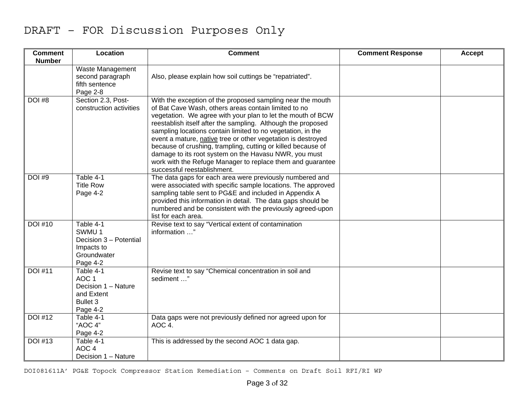| <b>Comment</b><br><b>Number</b> | Location                                                                                   | <b>Comment</b>                                                                                                                                                                                                                                                                                                                                                                                                                                                                                                                                                                                         | <b>Comment Response</b> | <b>Accept</b> |
|---------------------------------|--------------------------------------------------------------------------------------------|--------------------------------------------------------------------------------------------------------------------------------------------------------------------------------------------------------------------------------------------------------------------------------------------------------------------------------------------------------------------------------------------------------------------------------------------------------------------------------------------------------------------------------------------------------------------------------------------------------|-------------------------|---------------|
|                                 | Waste Management<br>second paragraph<br>fifth sentence<br>Page 2-8                         | Also, please explain how soil cuttings be "repatriated".                                                                                                                                                                                                                                                                                                                                                                                                                                                                                                                                               |                         |               |
| <b>DOI #8</b>                   | Section 2.3, Post-<br>construction activities                                              | With the exception of the proposed sampling near the mouth<br>of Bat Cave Wash, others areas contain limited to no<br>vegetation. We agree with your plan to let the mouth of BCW<br>reestablish itself after the sampling. Although the proposed<br>sampling locations contain limited to no vegetation, in the<br>event a mature, native tree or other vegetation is destroyed<br>because of crushing, trampling, cutting or killed because of<br>damage to its root system on the Havasu NWR, you must<br>work with the Refuge Manager to replace them and guarantee<br>successful reestablishment. |                         |               |
| <b>DOI #9</b>                   | Table 4-1<br><b>Title Row</b><br>Page 4-2                                                  | The data gaps for each area were previously numbered and<br>were associated with specific sample locations. The approved<br>sampling table sent to PG&E and included in Appendix A<br>provided this information in detail. The data gaps should be<br>numbered and be consistent with the previously agreed-upon<br>list for each area.                                                                                                                                                                                                                                                                |                         |               |
| <b>DOI #10</b>                  | Table 4-1<br>SWMU 1<br>Decision 3 - Potential<br>Impacts to<br>Groundwater<br>Page 4-2     | Revise text to say "Vertical extent of contamination<br>information "                                                                                                                                                                                                                                                                                                                                                                                                                                                                                                                                  |                         |               |
| <b>DOI #11</b>                  | Table 4-1<br>AOC <sub>1</sub><br>Decision 1 - Nature<br>and Extent<br>Bullet 3<br>Page 4-2 | Revise text to say "Chemical concentration in soil and<br>sediment "                                                                                                                                                                                                                                                                                                                                                                                                                                                                                                                                   |                         |               |
| <b>DOI #12</b>                  | Table 4-1<br>"AOC 4"<br>Page 4-2                                                           | Data gaps were not previously defined nor agreed upon for<br>AOC 4.                                                                                                                                                                                                                                                                                                                                                                                                                                                                                                                                    |                         |               |
| <b>DOI</b> #13                  | Table 4-1<br>AOC <sub>4</sub><br>Decision 1 - Nature                                       | This is addressed by the second AOC 1 data gap.                                                                                                                                                                                                                                                                                                                                                                                                                                                                                                                                                        |                         |               |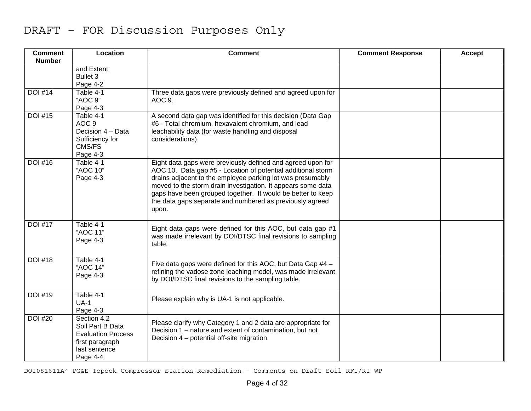| <b>Comment</b><br><b>Number</b> | Location                                                                                                     | <b>Comment</b>                                                                                                                                                                                                                                                                                                                                                                                | <b>Comment Response</b> | Accept |
|---------------------------------|--------------------------------------------------------------------------------------------------------------|-----------------------------------------------------------------------------------------------------------------------------------------------------------------------------------------------------------------------------------------------------------------------------------------------------------------------------------------------------------------------------------------------|-------------------------|--------|
|                                 | and Extent<br>Bullet 3<br>Page 4-2                                                                           |                                                                                                                                                                                                                                                                                                                                                                                               |                         |        |
| <b>DOI</b> #14                  | Table 4-1<br>"AOC 9"<br>Page 4-3                                                                             | Three data gaps were previously defined and agreed upon for<br>AOC 9.                                                                                                                                                                                                                                                                                                                         |                         |        |
| <b>DOI #15</b>                  | Table 4-1<br>AOC <sub>9</sub><br>Decision 4 - Data<br>Sufficiency for<br>CMS/FS<br>Page 4-3                  | A second data gap was identified for this decision (Data Gap<br>#6 - Total chromium, hexavalent chromium, and lead<br>leachability data (for waste handling and disposal<br>considerations).                                                                                                                                                                                                  |                         |        |
| <b>DOI</b> #16                  | Table 4-1<br>"AOC 10"<br>Page 4-3                                                                            | Eight data gaps were previously defined and agreed upon for<br>AOC 10. Data gap #5 - Location of potential additional storm<br>drains adjacent to the employee parking lot was presumably<br>moved to the storm drain investigation. It appears some data<br>gaps have been grouped together. It would be better to keep<br>the data gaps separate and numbered as previously agreed<br>upon. |                         |        |
| <b>DOI #17</b>                  | Table 4-1<br>"AOC 11"<br>Page 4-3                                                                            | Eight data gaps were defined for this AOC, but data gap #1<br>was made irrelevant by DOI/DTSC final revisions to sampling<br>table.                                                                                                                                                                                                                                                           |                         |        |
| <b>DOI #18</b>                  | Table 4-1<br>"AOC 14"<br>Page 4-3                                                                            | Five data gaps were defined for this AOC, but Data Gap $#4 -$<br>refining the vadose zone leaching model, was made irrelevant<br>by DOI/DTSC final revisions to the sampling table.                                                                                                                                                                                                           |                         |        |
| <b>DOI #19</b>                  | Table 4-1<br>$UA-1$<br>Page 4-3                                                                              | Please explain why is UA-1 is not applicable.                                                                                                                                                                                                                                                                                                                                                 |                         |        |
| <b>DOI #20</b>                  | Section 4.2<br>Soil Part B Data<br><b>Evaluation Process</b><br>first paragraph<br>last sentence<br>Page 4-4 | Please clarify why Category 1 and 2 data are appropriate for<br>Decision 1 – nature and extent of contamination, but not<br>Decision 4 – potential off-site migration.                                                                                                                                                                                                                        |                         |        |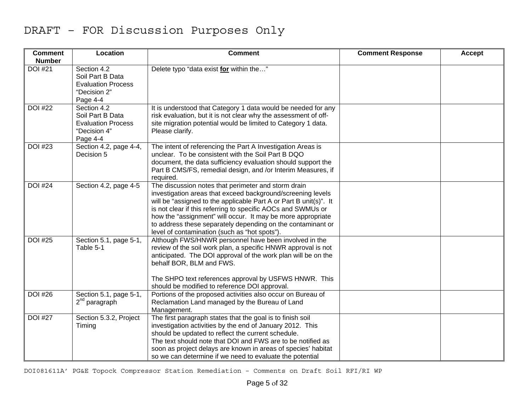| <b>Comment</b><br><b>Number</b> | Location                                                                                 | <b>Comment</b>                                                                                                                                                                                                                                                                                                                                                                                                                         | <b>Comment Response</b> | Accept |
|---------------------------------|------------------------------------------------------------------------------------------|----------------------------------------------------------------------------------------------------------------------------------------------------------------------------------------------------------------------------------------------------------------------------------------------------------------------------------------------------------------------------------------------------------------------------------------|-------------------------|--------|
| <b>DOI #21</b>                  | Section 4.2<br>Soil Part B Data<br><b>Evaluation Process</b><br>"Decision 2"<br>Page 4-4 | Delete typo "data exist for within the"                                                                                                                                                                                                                                                                                                                                                                                                |                         |        |
| <b>DOI #22</b>                  | Section 4.2<br>Soil Part B Data<br><b>Evaluation Process</b><br>"Decision 4"<br>Page 4-4 | It is understood that Category 1 data would be needed for any<br>risk evaluation, but it is not clear why the assessment of off-<br>site migration potential would be limited to Category 1 data.<br>Please clarify.                                                                                                                                                                                                                   |                         |        |
| <b>DOI</b> #23                  | Section 4.2, page 4-4,<br>Decision 5                                                     | The intent of referencing the Part A Investigation Areas is<br>unclear. To be consistent with the Soil Part B DQO<br>document, the data sufficiency evaluation should support the<br>Part B CMS/FS, remedial design, and /or Interim Measures, if<br>required.                                                                                                                                                                         |                         |        |
| <b>DOI #24</b>                  | Section 4.2, page 4-5                                                                    | The discussion notes that perimeter and storm drain<br>investigation areas that exceed background/screening levels<br>will be "assigned to the applicable Part A or Part B unit(s)". It<br>is not clear if this referring to specific AOCs and SWMUs or<br>how the "assignment" will occur. It may be more appropriate<br>to address these separately depending on the contaminant or<br>level of contamination (such as "hot spots"). |                         |        |
| <b>DOI #25</b>                  | Section 5.1, page 5-1,<br>Table 5-1                                                      | Although FWS/HNWR personnel have been involved in the<br>review of the soil work plan, a specific HNWR approval is not<br>anticipated. The DOI approval of the work plan will be on the<br>behalf BOR, BLM and FWS.<br>The SHPO text references approval by USFWS HNWR. This<br>should be modified to reference DOI approval.                                                                                                          |                         |        |
| <b>DOI #26</b>                  | Section 5.1, page 5-1,<br>2 <sup>nd</sup> paragraph                                      | Portions of the proposed activities also occur on Bureau of<br>Reclamation Land managed by the Bureau of Land<br>Management.                                                                                                                                                                                                                                                                                                           |                         |        |
| <b>DOI #27</b>                  | Section 5.3.2, Project<br>Timing                                                         | The first paragraph states that the goal is to finish soil<br>investigation activities by the end of January 2012. This<br>should be updated to reflect the current schedule.<br>The text should note that DOI and FWS are to be notified as<br>soon as project delays are known in areas of species' habitat<br>so we can determine if we need to evaluate the potential                                                              |                         |        |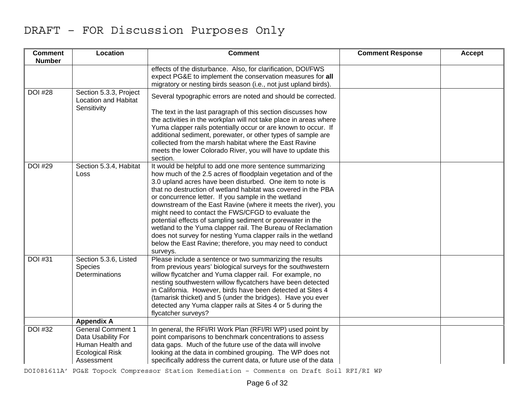| <b>Comment</b><br><b>Number</b> | Location                                                                                                   | <b>Comment</b>                                                                                                                                                                                                                                                                                                                                                                                                                                                                                                                                                                                                                                                                                               | <b>Comment Response</b> | Accept |
|---------------------------------|------------------------------------------------------------------------------------------------------------|--------------------------------------------------------------------------------------------------------------------------------------------------------------------------------------------------------------------------------------------------------------------------------------------------------------------------------------------------------------------------------------------------------------------------------------------------------------------------------------------------------------------------------------------------------------------------------------------------------------------------------------------------------------------------------------------------------------|-------------------------|--------|
|                                 |                                                                                                            | effects of the disturbance. Also, for clarification, DOI/FWS<br>expect PG&E to implement the conservation measures for all<br>migratory or nesting birds season (i.e., not just upland birds).                                                                                                                                                                                                                                                                                                                                                                                                                                                                                                               |                         |        |
| <b>DOI #28</b>                  | Section 5.3.3, Project<br>Location and Habitat<br>Sensitivity                                              | Several typographic errors are noted and should be corrected.                                                                                                                                                                                                                                                                                                                                                                                                                                                                                                                                                                                                                                                |                         |        |
|                                 |                                                                                                            | The text in the last paragraph of this section discusses how<br>the activities in the workplan will not take place in areas where<br>Yuma clapper rails potentially occur or are known to occur. If<br>additional sediment, porewater, or other types of sample are<br>collected from the marsh habitat where the East Ravine<br>meets the lower Colorado River, you will have to update this<br>section.                                                                                                                                                                                                                                                                                                    |                         |        |
| <b>DOI #29</b>                  | Section 5.3.4, Habitat<br>Loss                                                                             | It would be helpful to add one more sentence summarizing<br>how much of the 2.5 acres of floodplain vegetation and of the<br>3.0 upland acres have been disturbed. One item to note is<br>that no destruction of wetland habitat was covered in the PBA<br>or concurrence letter. If you sample in the wetland<br>downstream of the East Ravine (where it meets the river), you<br>might need to contact the FWS/CFGD to evaluate the<br>potential effects of sampling sediment or porewater in the<br>wetland to the Yuma clapper rail. The Bureau of Reclamation<br>does not survey for nesting Yuma clapper rails in the wetland<br>below the East Ravine; therefore, you may need to conduct<br>surveys. |                         |        |
| <b>DOI</b> #31                  | Section 5.3.6, Listed<br><b>Species</b><br>Determinations                                                  | Please include a sentence or two summarizing the results<br>from previous years' biological surveys for the southwestern<br>willow flycatcher and Yuma clapper rail. For example, no<br>nesting southwestern willow flycatchers have been detected<br>in California. However, birds have been detected at Sites 4<br>(tamarisk thicket) and 5 (under the bridges). Have you ever<br>detected any Yuma clapper rails at Sites 4 or 5 during the<br>flycatcher surveys?                                                                                                                                                                                                                                        |                         |        |
|                                 | <b>Appendix A</b>                                                                                          |                                                                                                                                                                                                                                                                                                                                                                                                                                                                                                                                                                                                                                                                                                              |                         |        |
| <b>DOI</b> #32                  | <b>General Comment 1</b><br>Data Usability For<br>Human Health and<br><b>Ecological Risk</b><br>Assessment | In general, the RFI/RI Work Plan (RFI/RI WP) used point by<br>point comparisons to benchmark concentrations to assess<br>data gaps. Much of the future use of the data will involve<br>looking at the data in combined grouping. The WP does not<br>specifically address the current data, or future use of the data                                                                                                                                                                                                                                                                                                                                                                                         |                         |        |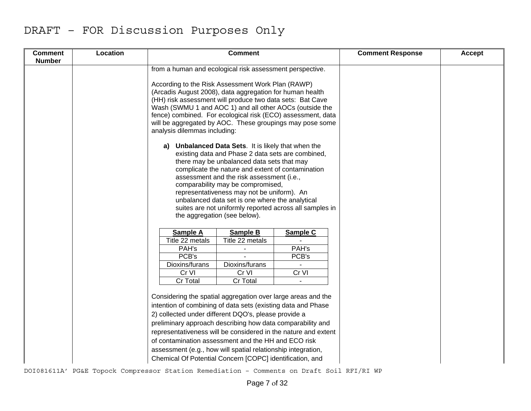| <b>Comment</b><br><b>Number</b> | Location | <b>Comment</b>                                                                                                                                                                                                                                                                                                                                                                                                                                                                                          |                                                                                                                                                                   | <b>Comment Response</b> | <b>Accept</b> |
|---------------------------------|----------|---------------------------------------------------------------------------------------------------------------------------------------------------------------------------------------------------------------------------------------------------------------------------------------------------------------------------------------------------------------------------------------------------------------------------------------------------------------------------------------------------------|-------------------------------------------------------------------------------------------------------------------------------------------------------------------|-------------------------|---------------|
|                                 |          | from a human and ecological risk assessment perspective.                                                                                                                                                                                                                                                                                                                                                                                                                                                |                                                                                                                                                                   |                         |               |
|                                 |          | According to the Risk Assessment Work Plan (RAWP)<br>(Arcadis August 2008), data aggregation for human health<br>(HH) risk assessment will produce two data sets: Bat Cave<br>Wash (SWMU 1 and AOC 1) and all other AOCs (outside the<br>fence) combined. For ecological risk (ECO) assessment, data<br>will be aggregated by AOC. These groupings may pose some<br>analysis dilemmas including:                                                                                                        |                                                                                                                                                                   |                         |               |
|                                 |          | <b>Unbalanced Data Sets.</b> It is likely that when the<br>a)<br>there may be unbalanced data sets that may<br>assessment and the risk assessment (i.e.,<br>comparability may be compromised,<br>representativeness may not be uniform). An<br>unbalanced data set is one where the analytical<br>the aggregation (see below).                                                                                                                                                                          | existing data and Phase 2 data sets are combined,<br>complicate the nature and extent of contamination<br>suites are not uniformly reported across all samples in |                         |               |
|                                 |          | Sample A<br>Sample B                                                                                                                                                                                                                                                                                                                                                                                                                                                                                    | Sample C                                                                                                                                                          |                         |               |
|                                 |          | Title 22 metals<br>Title 22 metals                                                                                                                                                                                                                                                                                                                                                                                                                                                                      |                                                                                                                                                                   |                         |               |
|                                 |          | PAH's                                                                                                                                                                                                                                                                                                                                                                                                                                                                                                   | PAH's                                                                                                                                                             |                         |               |
|                                 |          | PCB's                                                                                                                                                                                                                                                                                                                                                                                                                                                                                                   | PCB's                                                                                                                                                             |                         |               |
|                                 |          | Dioxins/furans<br>Dioxins/furans                                                                                                                                                                                                                                                                                                                                                                                                                                                                        |                                                                                                                                                                   |                         |               |
|                                 |          | Cr VI<br>Cr VI                                                                                                                                                                                                                                                                                                                                                                                                                                                                                          | Cr VI                                                                                                                                                             |                         |               |
|                                 |          | Cr Total<br>Cr Total                                                                                                                                                                                                                                                                                                                                                                                                                                                                                    |                                                                                                                                                                   |                         |               |
|                                 |          | Considering the spatial aggregation over large areas and the<br>intention of combining of data sets (existing data and Phase<br>2) collected under different DQO's, please provide a<br>preliminary approach describing how data comparability and<br>representativeness will be considered in the nature and extent<br>of contamination assessment and the HH and ECO risk<br>assessment (e.g., how will spatial relationship integration,<br>Chemical Of Potential Concern [COPC] identification, and |                                                                                                                                                                   |                         |               |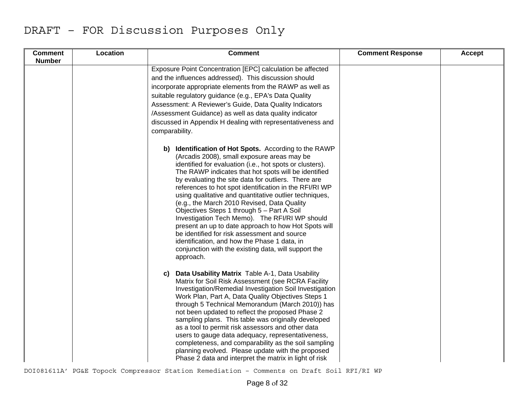| <b>Comment</b> | Location | <b>Comment</b>                                                                                                                                                                                                                                                                                                                                                                                                                                                                                                                                                                                                                                                                                                                                                                  | <b>Comment Response</b> | Accept |
|----------------|----------|---------------------------------------------------------------------------------------------------------------------------------------------------------------------------------------------------------------------------------------------------------------------------------------------------------------------------------------------------------------------------------------------------------------------------------------------------------------------------------------------------------------------------------------------------------------------------------------------------------------------------------------------------------------------------------------------------------------------------------------------------------------------------------|-------------------------|--------|
| <b>Number</b>  |          | Exposure Point Concentration [EPC] calculation be affected<br>and the influences addressed). This discussion should<br>incorporate appropriate elements from the RAWP as well as<br>suitable regulatory guidance (e.g., EPA's Data Quality<br>Assessment: A Reviewer's Guide, Data Quality Indicators<br>/Assessment Guidance) as well as data quality indicator<br>discussed in Appendix H dealing with representativeness and<br>comparability.                                                                                                                                                                                                                                                                                                                               |                         |        |
|                |          | b) Identification of Hot Spots. According to the RAWP<br>(Arcadis 2008), small exposure areas may be<br>identified for evaluation (i.e., hot spots or clusters).<br>The RAWP indicates that hot spots will be identified<br>by evaluating the site data for outliers. There are<br>references to hot spot identification in the RFI/RI WP<br>using qualitative and quantitative outlier techniques,<br>(e.g., the March 2010 Revised, Data Quality<br>Objectives Steps 1 through 5 - Part A Soil<br>Investigation Tech Memo). The RFI/RI WP should<br>present an up to date approach to how Hot Spots will<br>be identified for risk assessment and source<br>identification, and how the Phase 1 data, in<br>conjunction with the existing data, will support the<br>approach. |                         |        |
|                |          | Data Usability Matrix Table A-1, Data Usability<br>C)<br>Matrix for Soil Risk Assessment (see RCRA Facility<br>Investigation/Remedial Investigation Soil Investigation<br>Work Plan, Part A, Data Quality Objectives Steps 1<br>through 5 Technical Memorandum (March 2010)) has<br>not been updated to reflect the proposed Phase 2<br>sampling plans. This table was originally developed<br>as a tool to permit risk assessors and other data<br>users to gauge data adequacy, representativeness,<br>completeness, and comparability as the soil sampling<br>planning evolved. Please update with the proposed<br>Phase 2 data and interpret the matrix in light of risk                                                                                                    |                         |        |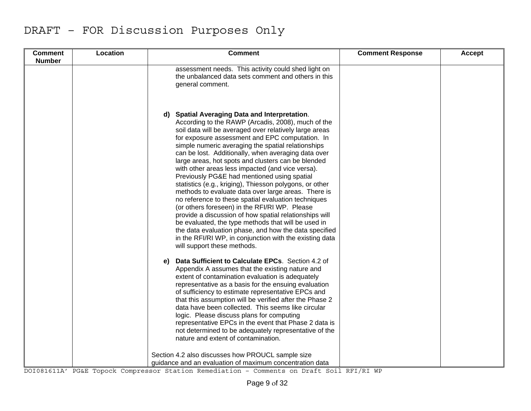| <b>Comment</b> | Location | <b>Comment</b>                                                                                                                                                                                                                                                                                                                                                                                                                                                                                                                                                                                                                                                                                                                                                                                                                                                                                                                                                                                  | <b>Comment Response</b> | Accept |
|----------------|----------|-------------------------------------------------------------------------------------------------------------------------------------------------------------------------------------------------------------------------------------------------------------------------------------------------------------------------------------------------------------------------------------------------------------------------------------------------------------------------------------------------------------------------------------------------------------------------------------------------------------------------------------------------------------------------------------------------------------------------------------------------------------------------------------------------------------------------------------------------------------------------------------------------------------------------------------------------------------------------------------------------|-------------------------|--------|
| <b>Number</b>  |          |                                                                                                                                                                                                                                                                                                                                                                                                                                                                                                                                                                                                                                                                                                                                                                                                                                                                                                                                                                                                 |                         |        |
|                |          | assessment needs. This activity could shed light on<br>the unbalanced data sets comment and others in this<br>general comment.                                                                                                                                                                                                                                                                                                                                                                                                                                                                                                                                                                                                                                                                                                                                                                                                                                                                  |                         |        |
|                |          | <b>Spatial Averaging Data and Interpretation.</b><br>d).<br>According to the RAWP (Arcadis, 2008), much of the<br>soil data will be averaged over relatively large areas<br>for exposure assessment and EPC computation. In<br>simple numeric averaging the spatial relationships<br>can be lost. Additionally, when averaging data over<br>large areas, hot spots and clusters can be blended<br>with other areas less impacted (and vice versa).<br>Previously PG&E had mentioned using spatial<br>statistics (e.g., kriging), Thiesson polygons, or other<br>methods to evaluate data over large areas. There is<br>no reference to these spatial evaluation techniques<br>(or others foreseen) in the RFI/RI WP. Please<br>provide a discussion of how spatial relationships will<br>be evaluated, the type methods that will be used in<br>the data evaluation phase, and how the data specified<br>in the RFI/RI WP, in conjunction with the existing data<br>will support these methods. |                         |        |
|                |          | Data Sufficient to Calculate EPCs. Section 4.2 of<br>e)<br>Appendix A assumes that the existing nature and<br>extent of contamination evaluation is adequately<br>representative as a basis for the ensuing evaluation<br>of sufficiency to estimate representative EPCs and<br>that this assumption will be verified after the Phase 2<br>data have been collected. This seems like circular<br>logic. Please discuss plans for computing<br>representative EPCs in the event that Phase 2 data is<br>not determined to be adequately representative of the<br>nature and extent of contamination.                                                                                                                                                                                                                                                                                                                                                                                             |                         |        |
|                |          | Section 4.2 also discusses how PROUCL sample size<br>guidance and an evaluation of maximum concentration data                                                                                                                                                                                                                                                                                                                                                                                                                                                                                                                                                                                                                                                                                                                                                                                                                                                                                   |                         |        |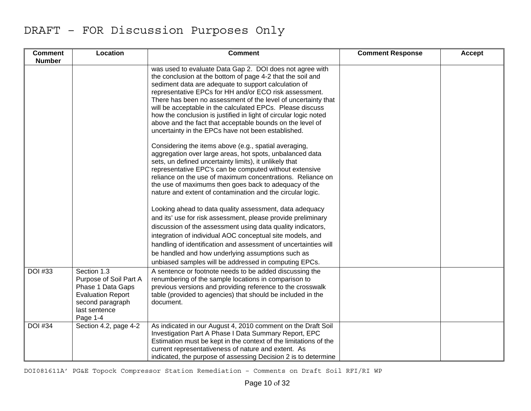| <b>Comment</b><br><b>Number</b> | Location                                                                                                                                | <b>Comment</b>                                                                                                                                                                                                                                                                                                                                                                                                                                                                                                                                                                                                         | <b>Comment Response</b> | Accept |
|---------------------------------|-----------------------------------------------------------------------------------------------------------------------------------------|------------------------------------------------------------------------------------------------------------------------------------------------------------------------------------------------------------------------------------------------------------------------------------------------------------------------------------------------------------------------------------------------------------------------------------------------------------------------------------------------------------------------------------------------------------------------------------------------------------------------|-------------------------|--------|
|                                 |                                                                                                                                         | was used to evaluate Data Gap 2. DOI does not agree with<br>the conclusion at the bottom of page 4-2 that the soil and<br>sediment data are adequate to support calculation of<br>representative EPCs for HH and/or ECO risk assessment.<br>There has been no assessment of the level of uncertainty that<br>will be acceptable in the calculated EPCs. Please discuss<br>how the conclusion is justified in light of circular logic noted<br>above and the fact that acceptable bounds on the level of<br>uncertainty in the EPCs have not been established.<br>Considering the items above (e.g., spatial averaging, |                         |        |
|                                 |                                                                                                                                         | aggregation over large areas, hot spots, unbalanced data<br>sets, un defined uncertainty limits), it unlikely that<br>representative EPC's can be computed without extensive<br>reliance on the use of maximum concentrations. Reliance on<br>the use of maximums then goes back to adequacy of the<br>nature and extent of contamination and the circular logic.                                                                                                                                                                                                                                                      |                         |        |
|                                 |                                                                                                                                         | Looking ahead to data quality assessment, data adequacy<br>and its' use for risk assessment, please provide preliminary<br>discussion of the assessment using data quality indicators,<br>integration of individual AOC conceptual site models, and<br>handling of identification and assessment of uncertainties will<br>be handled and how underlying assumptions such as<br>unbiased samples will be addressed in computing EPCs.                                                                                                                                                                                   |                         |        |
| <b>DOI</b> #33                  | Section 1.3<br>Purpose of Soil Part A<br>Phase 1 Data Gaps<br><b>Evaluation Report</b><br>second paragraph<br>last sentence<br>Page 1-4 | A sentence or footnote needs to be added discussing the<br>renumbering of the sample locations in comparison to<br>previous versions and providing reference to the crosswalk<br>table (provided to agencies) that should be included in the<br>document.                                                                                                                                                                                                                                                                                                                                                              |                         |        |
| <b>DOI</b> #34                  | Section 4.2, page 4-2                                                                                                                   | As indicated in our August 4, 2010 comment on the Draft Soil<br>Investigation Part A Phase I Data Summary Report, EPC<br>Estimation must be kept in the context of the limitations of the<br>current representativeness of nature and extent. As<br>indicated, the purpose of assessing Decision 2 is to determine                                                                                                                                                                                                                                                                                                     |                         |        |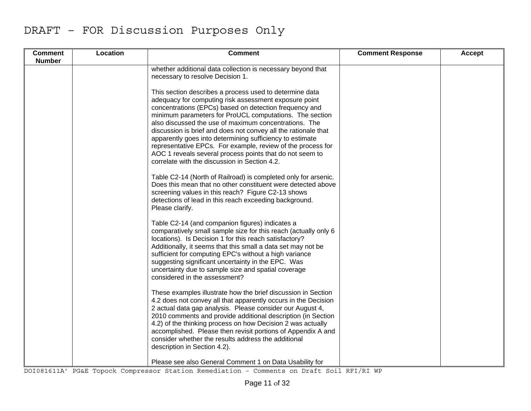| <b>Comment</b><br><b>Number</b> | Location | <b>Comment</b>                                                                                                                                                                                                                                                                                                                                                                                                                                                                                                                                                                                           | <b>Comment Response</b> | Accept |
|---------------------------------|----------|----------------------------------------------------------------------------------------------------------------------------------------------------------------------------------------------------------------------------------------------------------------------------------------------------------------------------------------------------------------------------------------------------------------------------------------------------------------------------------------------------------------------------------------------------------------------------------------------------------|-------------------------|--------|
|                                 |          | whether additional data collection is necessary beyond that<br>necessary to resolve Decision 1.                                                                                                                                                                                                                                                                                                                                                                                                                                                                                                          |                         |        |
|                                 |          | This section describes a process used to determine data<br>adequacy for computing risk assessment exposure point<br>concentrations (EPCs) based on detection frequency and<br>minimum parameters for ProUCL computations. The section<br>also discussed the use of maximum concentrations. The<br>discussion is brief and does not convey all the rationale that<br>apparently goes into determining sufficiency to estimate<br>representative EPCs. For example, review of the process for<br>AOC 1 reveals several process points that do not seem to<br>correlate with the discussion in Section 4.2. |                         |        |
|                                 |          | Table C2-14 (North of Railroad) is completed only for arsenic.<br>Does this mean that no other constituent were detected above<br>screening values in this reach? Figure C2-13 shows<br>detections of lead in this reach exceeding background.<br>Please clarify.                                                                                                                                                                                                                                                                                                                                        |                         |        |
|                                 |          | Table C2-14 (and companion figures) indicates a<br>comparatively small sample size for this reach (actually only 6<br>locations). Is Decision 1 for this reach satisfactory?<br>Additionally, it seems that this small a data set may not be<br>sufficient for computing EPC's without a high variance<br>suggesting significant uncertainty in the EPC. Was<br>uncertainty due to sample size and spatial coverage<br>considered in the assessment?                                                                                                                                                     |                         |        |
|                                 |          | These examples illustrate how the brief discussion in Section<br>4.2 does not convey all that apparently occurs in the Decision<br>2 actual data gap analysis. Please consider our August 4,<br>2010 comments and provide additional description (in Section<br>4.2) of the thinking process on how Decision 2 was actually<br>accomplished. Please then revisit portions of Appendix A and<br>consider whether the results address the additional<br>description in Section 4.2).                                                                                                                       |                         |        |
|                                 |          | Please see also General Comment 1 on Data Usability for                                                                                                                                                                                                                                                                                                                                                                                                                                                                                                                                                  |                         |        |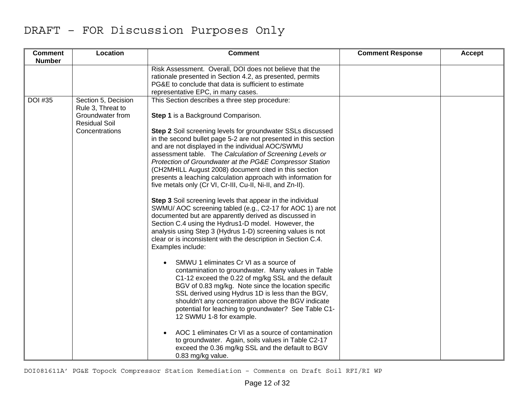| <b>Comment</b><br><b>Number</b> | Location                                                                                               | <b>Comment</b>                                                                                                                                                                                                                                                                                                                                                                                                                                                                                                                                                                                                                                                                                                                                                                                                                                                                                                                                                                                                                                                                                                                                                                                                                                                                                                                                                                                                                                                | <b>Comment Response</b> | Accept |
|---------------------------------|--------------------------------------------------------------------------------------------------------|---------------------------------------------------------------------------------------------------------------------------------------------------------------------------------------------------------------------------------------------------------------------------------------------------------------------------------------------------------------------------------------------------------------------------------------------------------------------------------------------------------------------------------------------------------------------------------------------------------------------------------------------------------------------------------------------------------------------------------------------------------------------------------------------------------------------------------------------------------------------------------------------------------------------------------------------------------------------------------------------------------------------------------------------------------------------------------------------------------------------------------------------------------------------------------------------------------------------------------------------------------------------------------------------------------------------------------------------------------------------------------------------------------------------------------------------------------------|-------------------------|--------|
|                                 |                                                                                                        | Risk Assessment. Overall, DOI does not believe that the<br>rationale presented in Section 4.2, as presented, permits<br>PG&E to conclude that data is sufficient to estimate<br>representative EPC, in many cases.                                                                                                                                                                                                                                                                                                                                                                                                                                                                                                                                                                                                                                                                                                                                                                                                                                                                                                                                                                                                                                                                                                                                                                                                                                            |                         |        |
| <b>DOI #35</b>                  | Section 5, Decision<br>Rule 3, Threat to<br>Groundwater from<br><b>Residual Soil</b><br>Concentrations | This Section describes a three step procedure:<br>Step 1 is a Background Comparison.<br>Step 2 Soil screening levels for groundwater SSLs discussed<br>in the second bullet page 5-2 are not presented in this section<br>and are not displayed in the individual AOC/SWMU<br>assessment table. The Calculation of Screening Levels or<br>Protection of Groundwater at the PG&E Compressor Station<br>(CH2MHILL August 2008) document cited in this section<br>presents a leaching calculation approach with information for<br>five metals only (Cr VI, Cr-III, Cu-II, Ni-II, and Zn-II).<br>Step 3 Soil screening levels that appear in the individual<br>SWMU/ AOC screening tabled (e.g., C2-17 for AOC 1) are not<br>documented but are apparently derived as discussed in<br>Section C.4 using the Hydrus1-D model. However, the<br>analysis using Step 3 (Hydrus 1-D) screening values is not<br>clear or is inconsistent with the description in Section C.4.<br>Examples include:<br>SMWU 1 eliminates Cr VI as a source of<br>contamination to groundwater. Many values in Table<br>C1-12 exceed the 0.22 of mg/kg SSL and the default<br>BGV of 0.83 mg/kg. Note since the location specific<br>SSL derived using Hydrus 1D is less than the BGV,<br>shouldn't any concentration above the BGV indicate<br>potential for leaching to groundwater? See Table C1-<br>12 SWMU 1-8 for example.<br>AOC 1 eliminates Cr VI as a source of contamination |                         |        |
|                                 |                                                                                                        | to groundwater. Again, soils values in Table C2-17<br>exceed the 0.36 mg/kg SSL and the default to BGV<br>0.83 mg/kg value.                                                                                                                                                                                                                                                                                                                                                                                                                                                                                                                                                                                                                                                                                                                                                                                                                                                                                                                                                                                                                                                                                                                                                                                                                                                                                                                                   |                         |        |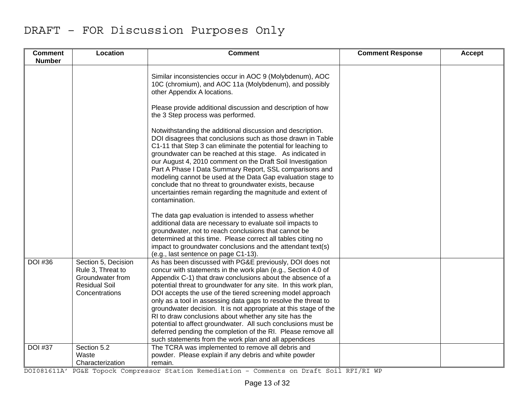| <b>Comment</b><br><b>Number</b> | Location                                                                                               | <b>Comment</b>                                                                                                                                                                                                                                                                                                                                                                                                                                                                                                                                                                                                                                                                                                     | <b>Comment Response</b> | <b>Accept</b> |
|---------------------------------|--------------------------------------------------------------------------------------------------------|--------------------------------------------------------------------------------------------------------------------------------------------------------------------------------------------------------------------------------------------------------------------------------------------------------------------------------------------------------------------------------------------------------------------------------------------------------------------------------------------------------------------------------------------------------------------------------------------------------------------------------------------------------------------------------------------------------------------|-------------------------|---------------|
|                                 |                                                                                                        | Similar inconsistencies occur in AOC 9 (Molybdenum), AOC<br>10C (chromium), and AOC 11a (Molybdenum), and possibly<br>other Appendix A locations.                                                                                                                                                                                                                                                                                                                                                                                                                                                                                                                                                                  |                         |               |
|                                 |                                                                                                        | Please provide additional discussion and description of how<br>the 3 Step process was performed.                                                                                                                                                                                                                                                                                                                                                                                                                                                                                                                                                                                                                   |                         |               |
|                                 |                                                                                                        | Notwithstanding the additional discussion and description.<br>DOI disagrees that conclusions such as those drawn in Table<br>C1-11 that Step 3 can eliminate the potential for leaching to<br>groundwater can be reached at this stage. As indicated in<br>our August 4, 2010 comment on the Draft Soil Investigation<br>Part A Phase I Data Summary Report, SSL comparisons and<br>modeling cannot be used at the Data Gap evaluation stage to<br>conclude that no threat to groundwater exists, because<br>uncertainties remain regarding the magnitude and extent of<br>contamination.                                                                                                                          |                         |               |
|                                 |                                                                                                        | The data gap evaluation is intended to assess whether<br>additional data are necessary to evaluate soil impacts to<br>groundwater, not to reach conclusions that cannot be<br>determined at this time. Please correct all tables citing no<br>impact to groundwater conclusions and the attendant text(s)<br>(e.g., last sentence on page C1-13).                                                                                                                                                                                                                                                                                                                                                                  |                         |               |
| <b>DOI</b> #36                  | Section 5, Decision<br>Rule 3, Threat to<br>Groundwater from<br><b>Residual Soil</b><br>Concentrations | As has been discussed with PG&E previously, DOI does not<br>concur with statements in the work plan (e.g., Section 4.0 of<br>Appendix C-1) that draw conclusions about the absence of a<br>potential threat to groundwater for any site. In this work plan,<br>DOI accepts the use of the tiered screening model approach<br>only as a tool in assessing data gaps to resolve the threat to<br>groundwater decision. It is not appropriate at this stage of the<br>RI to draw conclusions about whether any site has the<br>potential to affect groundwater. All such conclusions must be<br>deferred pending the completion of the RI. Please remove all<br>such statements from the work plan and all appendices |                         |               |
| <b>DOI #37</b>                  | Section 5.2<br>Waste<br>Characterization                                                               | The TCRA was implemented to remove all debris and<br>powder. Please explain if any debris and white powder<br>remain.                                                                                                                                                                                                                                                                                                                                                                                                                                                                                                                                                                                              |                         |               |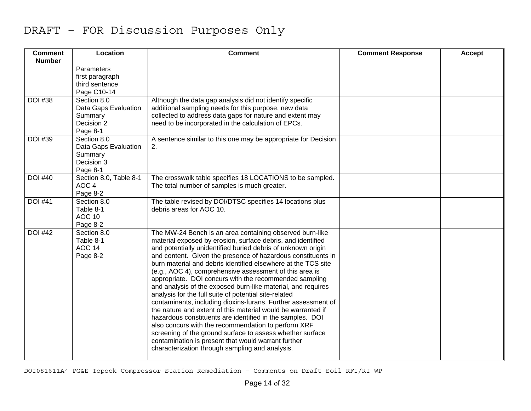| <b>Comment</b><br><b>Number</b> | Location                                                                 | <b>Comment</b>                                                                                                                                                                                                                                                                                                                                                                                                                                                                                                                                                                                                                                                                                                                                                                                                                                                                                                                                                                                     | <b>Comment Response</b> | Accept |
|---------------------------------|--------------------------------------------------------------------------|----------------------------------------------------------------------------------------------------------------------------------------------------------------------------------------------------------------------------------------------------------------------------------------------------------------------------------------------------------------------------------------------------------------------------------------------------------------------------------------------------------------------------------------------------------------------------------------------------------------------------------------------------------------------------------------------------------------------------------------------------------------------------------------------------------------------------------------------------------------------------------------------------------------------------------------------------------------------------------------------------|-------------------------|--------|
|                                 | Parameters<br>first paragraph<br>third sentence<br>Page C10-14           |                                                                                                                                                                                                                                                                                                                                                                                                                                                                                                                                                                                                                                                                                                                                                                                                                                                                                                                                                                                                    |                         |        |
| <b>DOI #38</b>                  | Section 8.0<br>Data Gaps Evaluation<br>Summary<br>Decision 2<br>Page 8-1 | Although the data gap analysis did not identify specific<br>additional sampling needs for this purpose, new data<br>collected to address data gaps for nature and extent may<br>need to be incorporated in the calculation of EPCs.                                                                                                                                                                                                                                                                                                                                                                                                                                                                                                                                                                                                                                                                                                                                                                |                         |        |
| <b>DOI #39</b>                  | Section 8.0<br>Data Gaps Evaluation<br>Summary<br>Decision 3<br>Page 8-1 | A sentence similar to this one may be appropriate for Decision<br>2.                                                                                                                                                                                                                                                                                                                                                                                                                                                                                                                                                                                                                                                                                                                                                                                                                                                                                                                               |                         |        |
| <b>DOI #40</b>                  | Section 8.0, Table 8-1<br>AOC <sub>4</sub><br>Page 8-2                   | The crosswalk table specifies 18 LOCATIONS to be sampled.<br>The total number of samples is much greater.                                                                                                                                                                                                                                                                                                                                                                                                                                                                                                                                                                                                                                                                                                                                                                                                                                                                                          |                         |        |
| <b>DOI #41</b>                  | Section 8.0<br>Table 8-1<br><b>AOC 10</b><br>Page 8-2                    | The table revised by DOI/DTSC specifies 14 locations plus<br>debris areas for AOC 10.                                                                                                                                                                                                                                                                                                                                                                                                                                                                                                                                                                                                                                                                                                                                                                                                                                                                                                              |                         |        |
| <b>DOI #42</b>                  | Section 8.0<br>Table 8-1<br>AOC 14<br>Page 8-2                           | The MW-24 Bench is an area containing observed burn-like<br>material exposed by erosion, surface debris, and identified<br>and potentially unidentified buried debris of unknown origin<br>and content. Given the presence of hazardous constituents in<br>burn material and debris identified elsewhere at the TCS site<br>(e.g., AOC 4), comprehensive assessment of this area is<br>appropriate. DOI concurs with the recommended sampling<br>and analysis of the exposed burn-like material, and requires<br>analysis for the full suite of potential site-related<br>contaminants, including dioxins-furans. Further assessment of<br>the nature and extent of this material would be warranted if<br>hazardous constituents are identified in the samples. DOI<br>also concurs with the recommendation to perform XRF<br>screening of the ground surface to assess whether surface<br>contamination is present that would warrant further<br>characterization through sampling and analysis. |                         |        |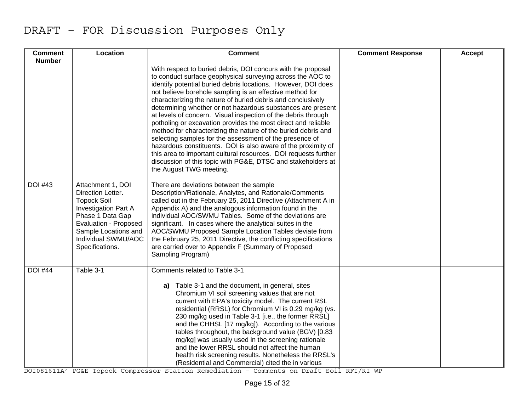| <b>Comment</b><br><b>Number</b> | Location                                                                                                                                                                                                   | <b>Comment</b>                                                                                                                                                                                                                                                                                                                                                                                                                                                                                                                                                                                                                                                                                                                                                                                                                                                                     | <b>Comment Response</b> | Accept |
|---------------------------------|------------------------------------------------------------------------------------------------------------------------------------------------------------------------------------------------------------|------------------------------------------------------------------------------------------------------------------------------------------------------------------------------------------------------------------------------------------------------------------------------------------------------------------------------------------------------------------------------------------------------------------------------------------------------------------------------------------------------------------------------------------------------------------------------------------------------------------------------------------------------------------------------------------------------------------------------------------------------------------------------------------------------------------------------------------------------------------------------------|-------------------------|--------|
|                                 |                                                                                                                                                                                                            | With respect to buried debris, DOI concurs with the proposal<br>to conduct surface geophysical surveying across the AOC to<br>identify potential buried debris locations. However, DOI does<br>not believe borehole sampling is an effective method for<br>characterizing the nature of buried debris and conclusively<br>determining whether or not hazardous substances are present<br>at levels of concern. Visual inspection of the debris through<br>potholing or excavation provides the most direct and reliable<br>method for characterizing the nature of the buried debris and<br>selecting samples for the assessment of the presence of<br>hazardous constituents. DOI is also aware of the proximity of<br>this area to important cultural resources. DOI requests further<br>discussion of this topic with PG&E, DTSC and stakeholders at<br>the August TWG meeting. |                         |        |
| <b>DOI #43</b>                  | Attachment 1, DOI<br>Direction Letter.<br><b>Topock Soil</b><br><b>Investigation Part A</b><br>Phase 1 Data Gap<br>Evaluation - Proposed<br>Sample Locations and<br>Individual SWMU/AOC<br>Specifications. | There are deviations between the sample<br>Description/Rationale, Analytes, and Rationale/Comments<br>called out in the February 25, 2011 Directive (Attachment A in<br>Appendix A) and the analogous information found in the<br>individual AOC/SWMU Tables. Some of the deviations are<br>significant. In cases where the analytical suites in the<br>AOC/SWMU Proposed Sample Location Tables deviate from<br>the February 25, 2011 Directive, the conflicting specifications<br>are carried over to Appendix F (Summary of Proposed<br>Sampling Program)                                                                                                                                                                                                                                                                                                                       |                         |        |
| <b>DOI #44</b>                  | Table 3-1                                                                                                                                                                                                  | Comments related to Table 3-1<br>a) Table 3-1 and the document, in general, sites<br>Chromium VI soil screening values that are not<br>current with EPA's toxicity model. The current RSL<br>residential (RRSL) for Chromium VI is 0.29 mg/kg (vs.<br>230 mg/kg used in Table 3-1 [i.e., the former RRSL]<br>and the CHHSL [17 mg/kg]). According to the various<br>tables throughout, the background value (BGV) [0.83<br>mg/kg] was usually used in the screening rationale<br>and the lower RRSL should not affect the human<br>health risk screening results. Nonetheless the RRSL's<br>(Residential and Commercial) cited the in various                                                                                                                                                                                                                                      |                         |        |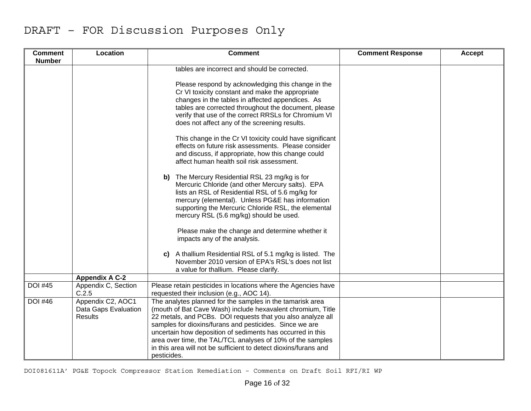| <b>Comment</b><br><b>Number</b> | Location                                                    | <b>Comment</b>                                                                                                                                                                                                                                                                                                                                                                                                                                                    | <b>Comment Response</b> | Accept |
|---------------------------------|-------------------------------------------------------------|-------------------------------------------------------------------------------------------------------------------------------------------------------------------------------------------------------------------------------------------------------------------------------------------------------------------------------------------------------------------------------------------------------------------------------------------------------------------|-------------------------|--------|
|                                 |                                                             | tables are incorrect and should be corrected.                                                                                                                                                                                                                                                                                                                                                                                                                     |                         |        |
|                                 |                                                             | Please respond by acknowledging this change in the<br>Cr VI toxicity constant and make the appropriate<br>changes in the tables in affected appendices. As<br>tables are corrected throughout the document, please<br>verify that use of the correct RRSLs for Chromium VI<br>does not affect any of the screening results.                                                                                                                                       |                         |        |
|                                 |                                                             | This change in the Cr VI toxicity could have significant<br>effects on future risk assessments. Please consider<br>and discuss, if appropriate, how this change could<br>affect human health soil risk assessment.                                                                                                                                                                                                                                                |                         |        |
|                                 |                                                             | b) The Mercury Residential RSL 23 mg/kg is for<br>Mercuric Chloride (and other Mercury salts). EPA<br>lists an RSL of Residential RSL of 5.6 mg/kg for<br>mercury (elemental). Unless PG&E has information<br>supporting the Mercuric Chloride RSL, the elemental<br>mercury RSL (5.6 mg/kg) should be used.                                                                                                                                                      |                         |        |
|                                 |                                                             | Please make the change and determine whether it<br>impacts any of the analysis.                                                                                                                                                                                                                                                                                                                                                                                   |                         |        |
|                                 |                                                             | A thallium Residential RSL of 5.1 mg/kg is listed. The<br>C)<br>November 2010 version of EPA's RSL's does not list<br>a value for thallium. Please clarify.                                                                                                                                                                                                                                                                                                       |                         |        |
|                                 | <b>Appendix A C-2</b>                                       |                                                                                                                                                                                                                                                                                                                                                                                                                                                                   |                         |        |
| <b>DOI #45</b>                  | Appendix C, Section<br>C.2.5                                | Please retain pesticides in locations where the Agencies have<br>requested their inclusion (e.g., AOC 14).                                                                                                                                                                                                                                                                                                                                                        |                         |        |
| <b>DOI</b> #46                  | Appendix C2, AOC1<br>Data Gaps Evaluation<br><b>Results</b> | The analytes planned for the samples in the tamarisk area<br>(mouth of Bat Cave Wash) include hexavalent chromium, Title<br>22 metals, and PCBs. DOI requests that you also analyze all<br>samples for dioxins/furans and pesticides. Since we are<br>uncertain how deposition of sediments has occurred in this<br>area over time, the TAL/TCL analyses of 10% of the samples<br>in this area will not be sufficient to detect dioxins/furans and<br>pesticides. |                         |        |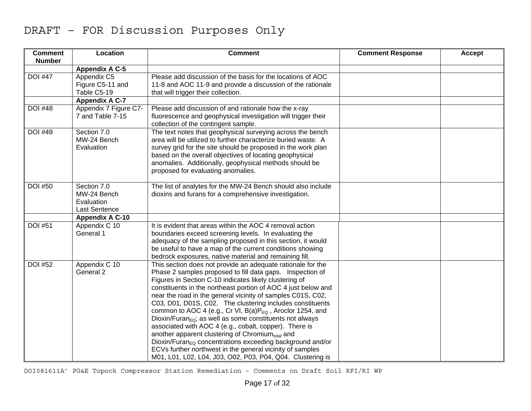| <b>Comment</b><br><b>Number</b> | Location                                                                | <b>Comment</b>                                                                                                                                                                                                                                                                                                                                                                                                                                                                                                                                                                                                                                                                                                                                                                                                                                | <b>Comment Response</b> | Accept |
|---------------------------------|-------------------------------------------------------------------------|-----------------------------------------------------------------------------------------------------------------------------------------------------------------------------------------------------------------------------------------------------------------------------------------------------------------------------------------------------------------------------------------------------------------------------------------------------------------------------------------------------------------------------------------------------------------------------------------------------------------------------------------------------------------------------------------------------------------------------------------------------------------------------------------------------------------------------------------------|-------------------------|--------|
|                                 | <b>Appendix A C-5</b>                                                   |                                                                                                                                                                                                                                                                                                                                                                                                                                                                                                                                                                                                                                                                                                                                                                                                                                               |                         |        |
| <b>DOI #47</b>                  | Appendix C5<br>Figure C5-11 and<br>Table C5-19<br><b>Appendix A C-7</b> | Please add discussion of the basis for the locations of AOC<br>11-8 and AOC 11-9 and provide a discussion of the rationale<br>that will trigger their collection.                                                                                                                                                                                                                                                                                                                                                                                                                                                                                                                                                                                                                                                                             |                         |        |
| <b>DOI #48</b>                  | Appendix 7 Figure C7-<br>7 and Table 7-15                               | Please add discussion of and rationale how the x-ray<br>fluorescence and geophysical investigation will trigger their<br>collection of the contingent sample.                                                                                                                                                                                                                                                                                                                                                                                                                                                                                                                                                                                                                                                                                 |                         |        |
| <b>DOI #49</b>                  | Section 7.0<br>MW-24 Bench<br>Evaluation                                | The text notes that geophysical surveying across the bench<br>area will be utilized to further characterize buried waste. A<br>survey grid for the site should be proposed in the work plan<br>based on the overall objectives of locating geophysical<br>anomalies. Additionally, geophysical methods should be<br>proposed for evaluating anomalies.                                                                                                                                                                                                                                                                                                                                                                                                                                                                                        |                         |        |
| <b>DOI #50</b>                  | Section 7.0<br>MW-24 Bench<br>Evaluation<br><b>Last Sentence</b>        | The list of analytes for the MW-24 Bench should also include<br>dioxins and furans for a comprehensive investigation.                                                                                                                                                                                                                                                                                                                                                                                                                                                                                                                                                                                                                                                                                                                         |                         |        |
|                                 | <b>Appendix A C-10</b>                                                  |                                                                                                                                                                                                                                                                                                                                                                                                                                                                                                                                                                                                                                                                                                                                                                                                                                               |                         |        |
| <b>DOI #51</b>                  | Appendix C 10<br>General 1                                              | It is evident that areas within the AOC 4 removal action<br>boundaries exceed screening levels. In evaluating the<br>adequacy of the sampling proposed in this section, it would<br>be useful to have a map of the current conditions showing<br>bedrock exposures, native material and remaining fill.                                                                                                                                                                                                                                                                                                                                                                                                                                                                                                                                       |                         |        |
| <b>DOI #52</b>                  | Appendix C 10<br>General 2                                              | This section does not provide an adequate rationale for the<br>Phase 2 samples proposed to fill data gaps. Inspection of<br>Figures in Section C-10 indicates likely clustering of<br>constituents in the northeast portion of AOC 4 just below and<br>near the road in the general vicinity of samples C01S, C02,<br>C03, D01, D01S, C02. The clustering includes constituents<br>common to AOC 4 (e.g., Cr VI, $B(a)P_{EQ}$ , Aroclor 1254, and<br>Dioxin/Furan <sub>EQ</sub> ; as well as some constituents not always<br>associated with AOC 4 (e.g., cobalt, copper). There is<br>another apparent clustering of Chromium <sub>total</sub> and<br>$Dioxin/FuranEO concentrations exceeding background and/or$<br>ECVs further northwest in the general vicinity of samples<br>M01, L01, L02, L04, J03, O02, P03, P04, Q04. Clustering is |                         |        |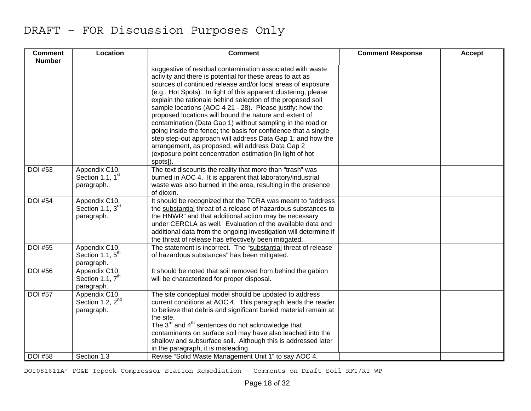| <b>Comment</b><br><b>Number</b> | Location                                                    | <b>Comment</b>                                                                                                                                                                                                                                                                                                                                                                                                                                                                                                                                                                                                                                                                                                                                                               | <b>Comment Response</b> | Accept |
|---------------------------------|-------------------------------------------------------------|------------------------------------------------------------------------------------------------------------------------------------------------------------------------------------------------------------------------------------------------------------------------------------------------------------------------------------------------------------------------------------------------------------------------------------------------------------------------------------------------------------------------------------------------------------------------------------------------------------------------------------------------------------------------------------------------------------------------------------------------------------------------------|-------------------------|--------|
|                                 |                                                             | suggestive of residual contamination associated with waste<br>activity and there is potential for these areas to act as<br>sources of continued release and/or local areas of exposure<br>(e.g., Hot Spots). In light of this apparent clustering, please<br>explain the rationale behind selection of the proposed soil<br>sample locations (AOC 4 21 - 28). Please justify: how the<br>proposed locations will bound the nature and extent of<br>contamination (Data Gap 1) without sampling in the road or<br>going inside the fence; the basis for confidence that a single<br>step step-out approach will address Data Gap 1; and how the<br>arrangement, as proposed, will address Data Gap 2<br>(exposure point concentration estimation [in light of hot<br>spots]). |                         |        |
| <b>DOI #53</b>                  | Appendix C10,<br>Section 1.1, 1 <sup>st</sup><br>paragraph. | The text discounts the reality that more than "trash" was<br>burned in AOC 4. It is apparent that laboratory/industrial<br>waste was also burned in the area, resulting in the presence<br>of dioxin.                                                                                                                                                                                                                                                                                                                                                                                                                                                                                                                                                                        |                         |        |
| <b>DOI #54</b>                  | Appendix C10,<br>Section 1.1, 3rd<br>paragraph.             | It should be recognized that the TCRA was meant to "address"<br>the substantial threat of a release of hazardous substances to<br>the HNWR" and that additional action may be necessary<br>under CERCLA as well. Evaluation of the available data and<br>additional data from the ongoing investigation will determine if<br>the threat of release has effectively been mitigated.                                                                                                                                                                                                                                                                                                                                                                                           |                         |        |
| <b>DOI #55</b>                  | Appendix C10,<br>Section 1.1, 5 <sup>th</sup><br>paragraph. | The statement is incorrect. The "substantial threat of release<br>of hazardous substances" has been mitigated.                                                                                                                                                                                                                                                                                                                                                                                                                                                                                                                                                                                                                                                               |                         |        |
| <b>DOI</b> #56                  | Appendix C10,<br>Section 1.1, 7 <sup>th</sup><br>paragraph. | It should be noted that soil removed from behind the gabion<br>will be characterized for proper disposal.                                                                                                                                                                                                                                                                                                                                                                                                                                                                                                                                                                                                                                                                    |                         |        |
| <b>DOI #57</b>                  | Appendix C10,<br>Section 1.2, 2 <sup>nd</sup><br>paragraph. | The site conceptual model should be updated to address<br>current conditions at AOC 4. This paragraph leads the reader<br>to believe that debris and significant buried material remain at<br>the site.<br>The $3^{rd}$ and $4^{th}$ sentences do not acknowledge that<br>contaminants on surface soil may have also leached into the<br>shallow and subsurface soil. Although this is addressed later<br>in the paragraph, it is misleading.                                                                                                                                                                                                                                                                                                                                |                         |        |
| <b>DOI #58</b>                  | Section 1.3                                                 | Revise "Solid Waste Management Unit 1" to say AOC 4.                                                                                                                                                                                                                                                                                                                                                                                                                                                                                                                                                                                                                                                                                                                         |                         |        |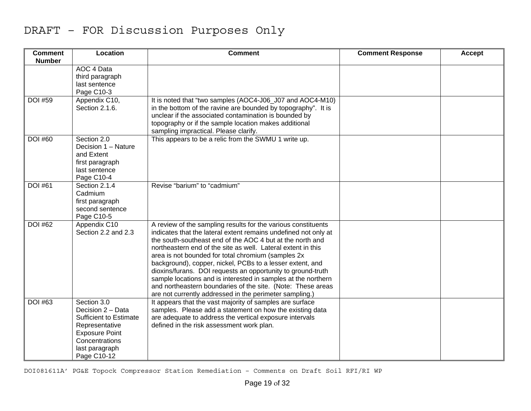| <b>Comment</b><br><b>Number</b> | Location                                                                                                                                                        | <b>Comment</b>                                                                                                                                                                                                                                                                                                                                                                                                                                                                                                                                                                                                                             | <b>Comment Response</b> | Accept |
|---------------------------------|-----------------------------------------------------------------------------------------------------------------------------------------------------------------|--------------------------------------------------------------------------------------------------------------------------------------------------------------------------------------------------------------------------------------------------------------------------------------------------------------------------------------------------------------------------------------------------------------------------------------------------------------------------------------------------------------------------------------------------------------------------------------------------------------------------------------------|-------------------------|--------|
|                                 | AOC 4 Data<br>third paragraph<br>last sentence<br>Page C10-3                                                                                                    |                                                                                                                                                                                                                                                                                                                                                                                                                                                                                                                                                                                                                                            |                         |        |
| <b>DOI #59</b>                  | Appendix C10,<br>Section 2.1.6.                                                                                                                                 | It is noted that "two samples (AOC4-J06_J07 and AOC4-M10)<br>in the bottom of the ravine are bounded by topography". It is<br>unclear if the associated contamination is bounded by<br>topography or if the sample location makes additional<br>sampling impractical. Please clarify.                                                                                                                                                                                                                                                                                                                                                      |                         |        |
| <b>DOI #60</b>                  | Section 2.0<br>Decision 1 - Nature<br>and Extent<br>first paragraph<br>last sentence<br>Page C10-4                                                              | This appears to be a relic from the SWMU 1 write up.                                                                                                                                                                                                                                                                                                                                                                                                                                                                                                                                                                                       |                         |        |
| <b>DOI #61</b>                  | Section 2.1.4<br>Cadmium<br>first paragraph<br>second sentence<br>Page C10-5                                                                                    | Revise "barium" to "cadmium"                                                                                                                                                                                                                                                                                                                                                                                                                                                                                                                                                                                                               |                         |        |
| <b>DOI #62</b>                  | Appendix C10<br>Section 2.2 and 2.3                                                                                                                             | A review of the sampling results for the various constituents<br>indicates that the lateral extent remains undefined not only at<br>the south-southeast end of the AOC 4 but at the north and<br>northeastern end of the site as well. Lateral extent in this<br>area is not bounded for total chromium (samples 2x<br>background), copper, nickel, PCBs to a lesser extent, and<br>dioxins/furans. DOI requests an opportunity to ground-truth<br>sample locations and is interested in samples at the northern<br>and northeastern boundaries of the site. (Note: These areas<br>are not currently addressed in the perimeter sampling.) |                         |        |
| <b>DOI #63</b>                  | Section 3.0<br>Decision 2 - Data<br><b>Sufficient to Estimate</b><br>Representative<br><b>Exposure Point</b><br>Concentrations<br>last paragraph<br>Page C10-12 | It appears that the vast majority of samples are surface<br>samples. Please add a statement on how the existing data<br>are adequate to address the vertical exposure intervals<br>defined in the risk assessment work plan.                                                                                                                                                                                                                                                                                                                                                                                                               |                         |        |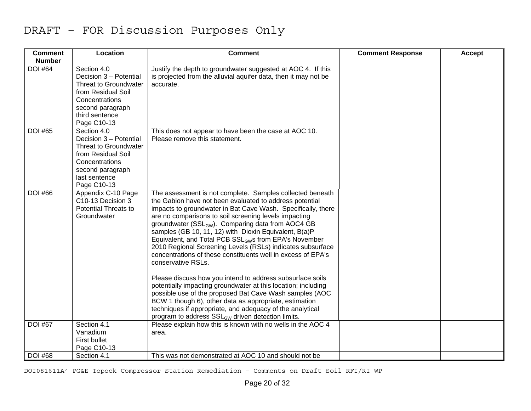| <b>Comment</b><br><b>Number</b> | Location                                                                                                                                                    | <b>Comment</b>                                                                                                                                                                                                                                                                                                                                                                                                                                                                                                                                                                                                                                                                                                                                                                                                                                                                                                                                                                    | <b>Comment Response</b> | Accept |
|---------------------------------|-------------------------------------------------------------------------------------------------------------------------------------------------------------|-----------------------------------------------------------------------------------------------------------------------------------------------------------------------------------------------------------------------------------------------------------------------------------------------------------------------------------------------------------------------------------------------------------------------------------------------------------------------------------------------------------------------------------------------------------------------------------------------------------------------------------------------------------------------------------------------------------------------------------------------------------------------------------------------------------------------------------------------------------------------------------------------------------------------------------------------------------------------------------|-------------------------|--------|
| <b>DOI #64</b>                  | Section 4.0<br>Decision 3 - Potential<br>Threat to Groundwater<br>from Residual Soil<br>Concentrations<br>second paragraph<br>third sentence<br>Page C10-13 | Justify the depth to groundwater suggested at AOC 4. If this<br>is projected from the alluvial aquifer data, then it may not be<br>accurate.                                                                                                                                                                                                                                                                                                                                                                                                                                                                                                                                                                                                                                                                                                                                                                                                                                      |                         |        |
| <b>DOI #65</b>                  | Section 4.0<br>Decision 3 - Potential<br>Threat to Groundwater<br>from Residual Soil<br>Concentrations<br>second paragraph<br>last sentence<br>Page C10-13  | This does not appear to have been the case at AOC 10.<br>Please remove this statement.                                                                                                                                                                                                                                                                                                                                                                                                                                                                                                                                                                                                                                                                                                                                                                                                                                                                                            |                         |        |
| <b>DOI #66</b>                  | Appendix C-10 Page<br>C10-13 Decision 3<br><b>Potential Threats to</b><br>Groundwater                                                                       | The assessment is not complete. Samples collected beneath<br>the Gabion have not been evaluated to address potential<br>impacts to groundwater in Bat Cave Wash. Specifically, there<br>are no comparisons to soil screening levels impacting<br>groundwater (SSL <sub>GW</sub> ). Comparing data from AOC4 GB<br>samples (GB 10, 11, 12) with Dioxin Equivalent, B(a)P<br>Equivalent, and Total PCB SSL <sub>GW</sub> s from EPA's November<br>2010 Regional Screening Levels (RSLs) indicates subsurface<br>concentrations of these constituents well in excess of EPA's<br>conservative RSLs.<br>Please discuss how you intend to address subsurface soils<br>potentially impacting groundwater at this location; including<br>possible use of the proposed Bat Cave Wash samples (AOC<br>BCW 1 though 6), other data as appropriate, estimation<br>techniques if appropriate, and adequacy of the analytical<br>program to address SSL <sub>GW</sub> driven detection limits. |                         |        |
| <b>DOI #67</b>                  | Section 4.1<br>Vanadium<br><b>First bullet</b><br>Page C10-13                                                                                               | Please explain how this is known with no wells in the AOC 4<br>area.                                                                                                                                                                                                                                                                                                                                                                                                                                                                                                                                                                                                                                                                                                                                                                                                                                                                                                              |                         |        |
| <b>DOI #68</b>                  | Section 4.1                                                                                                                                                 | This was not demonstrated at AOC 10 and should not be                                                                                                                                                                                                                                                                                                                                                                                                                                                                                                                                                                                                                                                                                                                                                                                                                                                                                                                             |                         |        |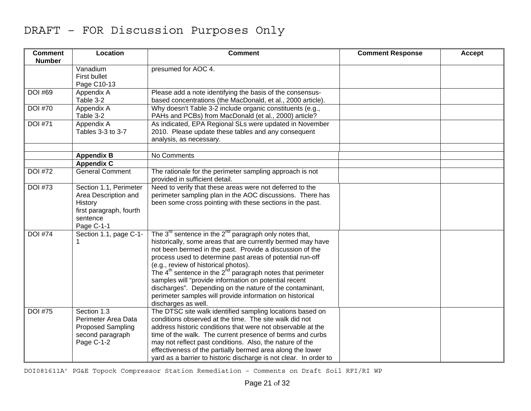| <b>Comment</b><br><b>Number</b> | Location                                                                                                       | <b>Comment</b>                                                                                                                                                                                                                                                                                                                                                                                                                                                                                                                                                             | <b>Comment Response</b> | <b>Accept</b> |
|---------------------------------|----------------------------------------------------------------------------------------------------------------|----------------------------------------------------------------------------------------------------------------------------------------------------------------------------------------------------------------------------------------------------------------------------------------------------------------------------------------------------------------------------------------------------------------------------------------------------------------------------------------------------------------------------------------------------------------------------|-------------------------|---------------|
|                                 | Vanadium<br><b>First bullet</b><br>Page C10-13                                                                 | presumed for AOC 4.                                                                                                                                                                                                                                                                                                                                                                                                                                                                                                                                                        |                         |               |
| <b>DOI #69</b>                  | Appendix A<br>Table 3-2                                                                                        | Please add a note identifying the basis of the consensus-<br>based concentrations (the MacDonald, et al., 2000 article).                                                                                                                                                                                                                                                                                                                                                                                                                                                   |                         |               |
| <b>DOI #70</b>                  | Appendix A<br>Table 3-2                                                                                        | Why doesn't Table 3-2 include organic constituents (e.g.,<br>PAHs and PCBs) from MacDonald (et al., 2000) article?                                                                                                                                                                                                                                                                                                                                                                                                                                                         |                         |               |
| <b>DOI #71</b>                  | Appendix A<br>Tables 3-3 to 3-7                                                                                | As indicated, EPA Regional SLs were updated in November<br>2010. Please update these tables and any consequent<br>analysis, as necessary.                                                                                                                                                                                                                                                                                                                                                                                                                                  |                         |               |
|                                 | <b>Appendix B</b>                                                                                              | No Comments                                                                                                                                                                                                                                                                                                                                                                                                                                                                                                                                                                |                         |               |
|                                 | <b>Appendix C</b>                                                                                              |                                                                                                                                                                                                                                                                                                                                                                                                                                                                                                                                                                            |                         |               |
| <b>DOI #72</b>                  | <b>General Comment</b>                                                                                         | The rationale for the perimeter sampling approach is not<br>provided in sufficient detail.                                                                                                                                                                                                                                                                                                                                                                                                                                                                                 |                         |               |
| <b>DOI #73</b>                  | Section 1.1, Perimeter<br>Area Description and<br>History<br>first paragraph, fourth<br>sentence<br>Page C-1-1 | Need to verify that these areas were not deferred to the<br>perimeter sampling plan in the AOC discussions. There has<br>been some cross pointing with these sections in the past.                                                                                                                                                                                                                                                                                                                                                                                         |                         |               |
| <b>DOI #74</b>                  | Section 1.1, page C-1-<br>1                                                                                    | The $3^{rd}$ sentence in the $2^{nd}$ paragraph only notes that,<br>historically, some areas that are currently bermed may have<br>not been bermed in the past. Provide a discussion of the<br>process used to determine past areas of potential run-off<br>(e.g., review of historical photos).<br>The $4th$ sentence in the $2hd$ paragraph notes that perimeter<br>samples will "provide information on potential recent<br>discharges". Depending on the nature of the contaminant,<br>perimeter samples will provide information on historical<br>discharges as well. |                         |               |
| <b>DOI #75</b>                  | Section 1.3<br>Perimeter Area Data<br><b>Proposed Sampling</b><br>second paragraph<br>Page C-1-2               | The DTSC site walk identified sampling locations based on<br>conditions observed at the time. The site walk did not<br>address historic conditions that were not observable at the<br>time of the walk. The current presence of berms and curbs<br>may not reflect past conditions. Also, the nature of the<br>effectiveness of the partially bermed area along the lower<br>yard as a barrier to historic discharge is not clear. In order to                                                                                                                             |                         |               |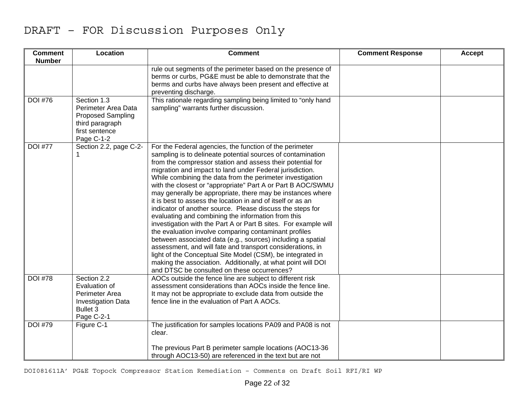| <b>Comment</b><br><b>Number</b> | Location                                                                                                          | <b>Comment</b>                                                                                                                                                                                                                                                                                                                                                                                                                                                                                                                                                                                                                                                                                                                                                                                                                                                                                                                                                                                                                                                     | <b>Comment Response</b> | <b>Accept</b> |
|---------------------------------|-------------------------------------------------------------------------------------------------------------------|--------------------------------------------------------------------------------------------------------------------------------------------------------------------------------------------------------------------------------------------------------------------------------------------------------------------------------------------------------------------------------------------------------------------------------------------------------------------------------------------------------------------------------------------------------------------------------------------------------------------------------------------------------------------------------------------------------------------------------------------------------------------------------------------------------------------------------------------------------------------------------------------------------------------------------------------------------------------------------------------------------------------------------------------------------------------|-------------------------|---------------|
|                                 |                                                                                                                   | rule out segments of the perimeter based on the presence of<br>berms or curbs, PG&E must be able to demonstrate that the<br>berms and curbs have always been present and effective at<br>preventing discharge.                                                                                                                                                                                                                                                                                                                                                                                                                                                                                                                                                                                                                                                                                                                                                                                                                                                     |                         |               |
| <b>DOI #76</b>                  | Section 1.3<br>Perimeter Area Data<br><b>Proposed Sampling</b><br>third paragraph<br>first sentence<br>Page C-1-2 | This rationale regarding sampling being limited to "only hand<br>sampling" warrants further discussion.                                                                                                                                                                                                                                                                                                                                                                                                                                                                                                                                                                                                                                                                                                                                                                                                                                                                                                                                                            |                         |               |
| <b>DOI #77</b>                  | Section 2.2, page C-2-                                                                                            | For the Federal agencies, the function of the perimeter<br>sampling is to delineate potential sources of contamination<br>from the compressor station and assess their potential for<br>migration and impact to land under Federal jurisdiction.<br>While combining the data from the perimeter investigation<br>with the closest or "appropriate" Part A or Part B AOC/SWMU<br>may generally be appropriate, there may be instances where<br>it is best to assess the location in and of itself or as an<br>indicator of another source. Please discuss the steps for<br>evaluating and combining the information from this<br>investigation with the Part A or Part B sites. For example will<br>the evaluation involve comparing contaminant profiles<br>between associated data (e.g., sources) including a spatial<br>assessment, and will fate and transport considerations, in<br>light of the Conceptual Site Model (CSM), be integrated in<br>making the association. Additionally, at what point will DOI<br>and DTSC be consulted on these occurrences? |                         |               |
| <b>DOI #78</b>                  | Section 2.2<br>Evaluation of<br>Perimeter Area<br><b>Investigation Data</b><br><b>Bullet 3</b><br>Page C-2-1      | AOCs outside the fence line are subject to different risk<br>assessment considerations than AOCs inside the fence line.<br>It may not be appropriate to exclude data from outside the<br>fence line in the evaluation of Part A AOCs.                                                                                                                                                                                                                                                                                                                                                                                                                                                                                                                                                                                                                                                                                                                                                                                                                              |                         |               |
| <b>DOI #79</b>                  | Figure C-1                                                                                                        | The justification for samples locations PA09 and PA08 is not<br>clear.                                                                                                                                                                                                                                                                                                                                                                                                                                                                                                                                                                                                                                                                                                                                                                                                                                                                                                                                                                                             |                         |               |
|                                 |                                                                                                                   | The previous Part B perimeter sample locations (AOC13-36<br>through AOC13-50) are referenced in the text but are not                                                                                                                                                                                                                                                                                                                                                                                                                                                                                                                                                                                                                                                                                                                                                                                                                                                                                                                                               |                         |               |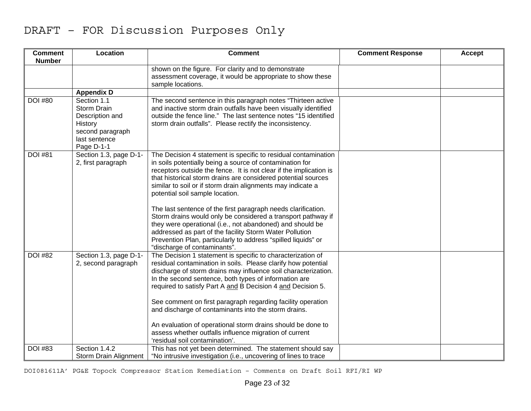| <b>Comment</b><br><b>Number</b> | Location                                                                                                    | <b>Comment</b>                                                                                                                                                                                                                                                                                                                                                                                                                                                                                                                                                                                                                                                                                                                | <b>Comment Response</b> | Accept |
|---------------------------------|-------------------------------------------------------------------------------------------------------------|-------------------------------------------------------------------------------------------------------------------------------------------------------------------------------------------------------------------------------------------------------------------------------------------------------------------------------------------------------------------------------------------------------------------------------------------------------------------------------------------------------------------------------------------------------------------------------------------------------------------------------------------------------------------------------------------------------------------------------|-------------------------|--------|
|                                 |                                                                                                             | shown on the figure. For clarity and to demonstrate<br>assessment coverage, it would be appropriate to show these<br>sample locations.                                                                                                                                                                                                                                                                                                                                                                                                                                                                                                                                                                                        |                         |        |
|                                 | <b>Appendix D</b>                                                                                           |                                                                                                                                                                                                                                                                                                                                                                                                                                                                                                                                                                                                                                                                                                                               |                         |        |
| <b>DOI #80</b>                  | Section 1.1<br>Storm Drain<br>Description and<br>History<br>second paragraph<br>last sentence<br>Page D-1-1 | The second sentence in this paragraph notes "Thirteen active<br>and inactive storm drain outfalls have been visually identified<br>outside the fence line." The last sentence notes "15 identified<br>storm drain outfalls". Please rectify the inconsistency.                                                                                                                                                                                                                                                                                                                                                                                                                                                                |                         |        |
| <b>DOI #81</b>                  | Section 1.3, page D-1-<br>2, first paragraph                                                                | The Decision 4 statement is specific to residual contamination<br>in soils potentially being a source of contamination for<br>receptors outside the fence. It is not clear if the implication is<br>that historical storm drains are considered potential sources<br>similar to soil or if storm drain alignments may indicate a<br>potential soil sample location.<br>The last sentence of the first paragraph needs clarification.<br>Storm drains would only be considered a transport pathway if<br>they were operational (i.e., not abandoned) and should be<br>addressed as part of the facility Storm Water Pollution<br>Prevention Plan, particularly to address "spilled liquids" or<br>"discharge of contaminants". |                         |        |
| <b>DOI #82</b>                  | Section 1.3, page D-1-<br>2, second paragraph                                                               | The Decision 1 statement is specific to characterization of<br>residual contamination in soils. Please clarify how potential<br>discharge of storm drains may influence soil characterization.<br>In the second sentence, both types of information are<br>required to satisfy Part A and B Decision 4 and Decision 5.<br>See comment on first paragraph regarding facility operation<br>and discharge of contaminants into the storm drains.<br>An evaluation of operational storm drains should be done to<br>assess whether outfalls influence migration of current<br>'residual soil contamination'.                                                                                                                      |                         |        |
| <b>DOI #83</b>                  | Section 1.4.2<br>Storm Drain Alignment                                                                      | This has not yet been determined. The statement should say<br>"No intrusive investigation (i.e., uncovering of lines to trace                                                                                                                                                                                                                                                                                                                                                                                                                                                                                                                                                                                                 |                         |        |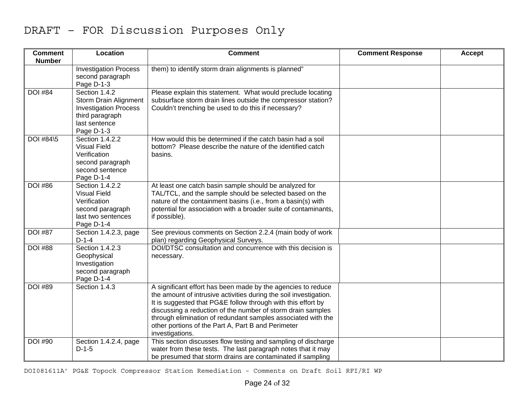| <b>Comment</b><br><b>Number</b> | Location                                                                                                                 | <b>Comment</b>                                                                                                                                                                                                                                                                                                                                                                                            | <b>Comment Response</b> | <b>Accept</b> |
|---------------------------------|--------------------------------------------------------------------------------------------------------------------------|-----------------------------------------------------------------------------------------------------------------------------------------------------------------------------------------------------------------------------------------------------------------------------------------------------------------------------------------------------------------------------------------------------------|-------------------------|---------------|
|                                 | <b>Investigation Process</b><br>second paragraph<br>Page D-1-3                                                           | them) to identify storm drain alignments is planned"                                                                                                                                                                                                                                                                                                                                                      |                         |               |
| <b>DOI #84</b>                  | Section 1.4.2<br>Storm Drain Alignment<br><b>Investigation Process</b><br>third paragraph<br>last sentence<br>Page D-1-3 | Please explain this statement. What would preclude locating<br>subsurface storm drain lines outside the compressor station?<br>Couldn't trenching be used to do this if necessary?                                                                                                                                                                                                                        |                         |               |
| DOI #84\5                       | Section 1.4.2.2<br><b>Visual Field</b><br>Verification<br>second paragraph<br>second sentence<br>Page D-1-4              | How would this be determined if the catch basin had a soil<br>bottom? Please describe the nature of the identified catch<br>basins.                                                                                                                                                                                                                                                                       |                         |               |
| <b>DOI #86</b>                  | Section 1.4.2.2<br><b>Visual Field</b><br>Verification<br>second paragraph<br>last two sentences<br>Page D-1-4           | At least one catch basin sample should be analyzed for<br>TAL/TCL, and the sample should be selected based on the<br>nature of the containment basins (i.e., from a basin(s) with<br>potential for association with a broader suite of contaminants,<br>if possible).                                                                                                                                     |                         |               |
| <b>DOI #87</b>                  | Section 1.4.2.3, page<br>$D-1-4$                                                                                         | See previous comments on Section 2.2.4 (main body of work<br>plan) regarding Geophysical Surveys.                                                                                                                                                                                                                                                                                                         |                         |               |
| <b>DOI</b> #88                  | Section 1.4.2.3<br>Geophysical<br>Investigation<br>second paragraph<br>Page D-1-4                                        | DOI/DTSC consultation and concurrence with this decision is<br>necessary.                                                                                                                                                                                                                                                                                                                                 |                         |               |
| <b>DOI #89</b>                  | Section 1.4.3                                                                                                            | A significant effort has been made by the agencies to reduce<br>the amount of intrusive activities during the soil investigation.<br>It is suggested that PG&E follow through with this effort by<br>discussing a reduction of the number of storm drain samples<br>through elimination of redundant samples associated with the<br>other portions of the Part A, Part B and Perimeter<br>investigations. |                         |               |
| <b>DOI #90</b>                  | Section 1.4.2.4, page<br>$D-1-5$                                                                                         | This section discusses flow testing and sampling of discharge<br>water from these tests. The last paragraph notes that it may<br>be presumed that storm drains are contaminated if sampling                                                                                                                                                                                                               |                         |               |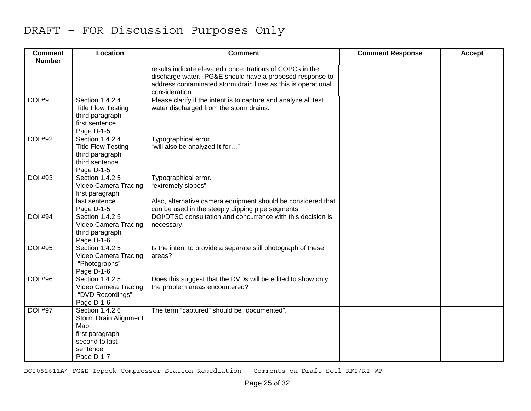| <b>Comment</b><br><b>Number</b> | Location                                                                                                              | <b>Comment</b>                                                                                                                                                                                          | <b>Comment Response</b> | <b>Accept</b> |
|---------------------------------|-----------------------------------------------------------------------------------------------------------------------|---------------------------------------------------------------------------------------------------------------------------------------------------------------------------------------------------------|-------------------------|---------------|
|                                 |                                                                                                                       | results indicate elevated concentrations of COPCs in the<br>discharge water. PG&E should have a proposed response to<br>address contaminated storm drain lines as this is operational<br>consideration. |                         |               |
| <b>DOI #91</b>                  | Section 1.4.2.4<br><b>Title Flow Testing</b><br>third paragraph<br>first sentence<br>Page D-1-5                       | Please clarify if the intent is to capture and analyze all test<br>water discharged from the storm drains.                                                                                              |                         |               |
| <b>DOI #92</b>                  | Section 1.4.2.4<br><b>Title Flow Testing</b><br>third paragraph<br>third sentence<br>Page D-1-5                       | Typographical error<br>"will also be analyzed it for"                                                                                                                                                   |                         |               |
| <b>DOI #93</b>                  | Section 1.4.2.5<br>Video Camera Tracing<br>first paragraph<br>last sentence<br>Page D-1-5                             | Typographical error.<br>"extremely slopes"<br>Also, alternative camera equipment should be considered that<br>can be used in the steeply dipping pipe segments.                                         |                         |               |
| <b>DOI #94</b>                  | Section 1.4.2.5<br>Video Camera Tracing<br>third paragraph<br>Page D-1-6                                              | DOI/DTSC consultation and concurrence with this decision is<br>necessary.                                                                                                                               |                         |               |
| <b>DOI #95</b>                  | Section 1.4.2.5<br>Video Camera Tracing<br>"Photographs"<br>Page D-1-6                                                | Is the intent to provide a separate still photograph of these<br>areas?                                                                                                                                 |                         |               |
| <b>DOI #96</b>                  | Section 1.4.2.5<br>Video Camera Tracing<br>"DVD Recordings"<br>Page D-1-6                                             | Does this suggest that the DVDs will be edited to show only<br>the problem areas encountered?                                                                                                           |                         |               |
| <b>DOI #97</b>                  | Section 1.4.2.6<br><b>Storm Drain Alignment</b><br>Map<br>first paragraph<br>second to last<br>sentence<br>Page D-1-7 | The term "captured" should be "documented".                                                                                                                                                             |                         |               |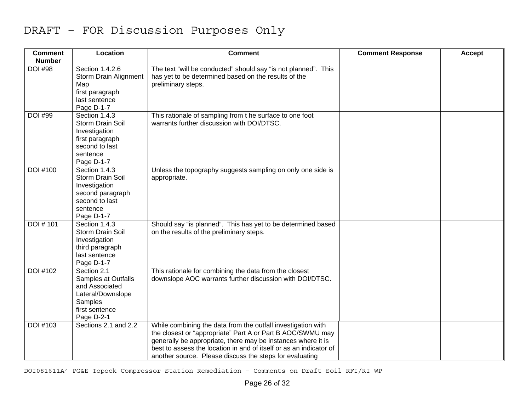| <b>Comment</b><br><b>Number</b> | Location                                                                                                             | <b>Comment</b>                                                                                                                                                                                                                                                                                                              | <b>Comment Response</b> | Accept |
|---------------------------------|----------------------------------------------------------------------------------------------------------------------|-----------------------------------------------------------------------------------------------------------------------------------------------------------------------------------------------------------------------------------------------------------------------------------------------------------------------------|-------------------------|--------|
| <b>DOI #98</b>                  | Section 1.4.2.6<br>Storm Drain Alignment<br>Map<br>first paragraph<br>last sentence<br>Page D-1-7                    | The text "will be conducted" should say "is not planned". This<br>has yet to be determined based on the results of the<br>preliminary steps.                                                                                                                                                                                |                         |        |
| <b>DOI #99</b>                  | Section 1.4.3<br>Storm Drain Soil<br>Investigation<br>first paragraph<br>second to last<br>sentence<br>Page D-1-7    | This rationale of sampling from t he surface to one foot<br>warrants further discussion with DOI/DTSC.                                                                                                                                                                                                                      |                         |        |
| DOI #100                        | Section 1.4.3<br>Storm Drain Soil<br>Investigation<br>second paragraph<br>second to last<br>sentence<br>Page D-1-7   | Unless the topography suggests sampling on only one side is<br>appropriate.                                                                                                                                                                                                                                                 |                         |        |
| DOI #101                        | Section 1.4.3<br>Storm Drain Soil<br>Investigation<br>third paragraph<br>last sentence<br>Page D-1-7                 | Should say "is planned". This has yet to be determined based<br>on the results of the preliminary steps.                                                                                                                                                                                                                    |                         |        |
| DOI #102                        | Section 2.1<br>Samples at Outfalls<br>and Associated<br>Lateral/Downslope<br>Samples<br>first sentence<br>Page D-2-1 | This rationale for combining the data from the closest<br>downslope AOC warrants further discussion with DOI/DTSC.                                                                                                                                                                                                          |                         |        |
| DOI #103                        | Sections 2.1 and 2.2                                                                                                 | While combining the data from the outfall investigation with<br>the closest or "appropriate" Part A or Part B AOC/SWMU may<br>generally be appropriate, there may be instances where it is<br>best to assess the location in and of itself or as an indicator of<br>another source. Please discuss the steps for evaluating |                         |        |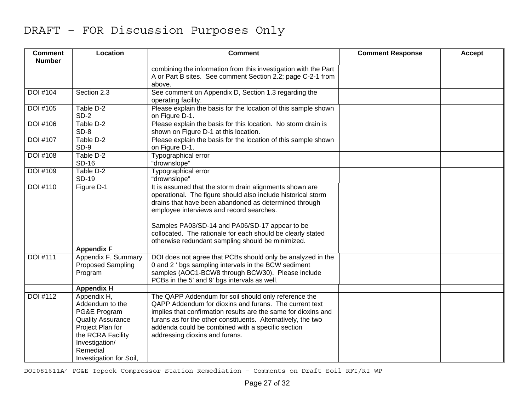| <b>Comment</b><br><b>Number</b> | Location                                                                                                                                                                     | <b>Comment</b>                                                                                                                                                                                                                                                                                                                                                                                     | <b>Comment Response</b> | <b>Accept</b> |
|---------------------------------|------------------------------------------------------------------------------------------------------------------------------------------------------------------------------|----------------------------------------------------------------------------------------------------------------------------------------------------------------------------------------------------------------------------------------------------------------------------------------------------------------------------------------------------------------------------------------------------|-------------------------|---------------|
|                                 |                                                                                                                                                                              | combining the information from this investigation with the Part<br>A or Part B sites. See comment Section 2.2; page C-2-1 from<br>above.                                                                                                                                                                                                                                                           |                         |               |
| <b>DOI #104</b>                 | Section 2.3                                                                                                                                                                  | See comment on Appendix D, Section 1.3 regarding the<br>operating facility.                                                                                                                                                                                                                                                                                                                        |                         |               |
| <b>DOI</b> #105                 | Table D-2<br>$SD-2$                                                                                                                                                          | Please explain the basis for the location of this sample shown<br>on Figure D-1.                                                                                                                                                                                                                                                                                                                   |                         |               |
| <b>DOI</b> #106                 | Table D-2<br>SD-8                                                                                                                                                            | Please explain the basis for this location. No storm drain is<br>shown on Figure D-1 at this location.                                                                                                                                                                                                                                                                                             |                         |               |
| <b>DOI #107</b>                 | Table D-2<br>SD-9                                                                                                                                                            | Please explain the basis for the location of this sample shown<br>on Figure D-1.                                                                                                                                                                                                                                                                                                                   |                         |               |
| <b>DOI</b> #108                 | Table D-2<br><b>SD-16</b>                                                                                                                                                    | Typographical error<br>"drownslope"                                                                                                                                                                                                                                                                                                                                                                |                         |               |
| DOI #109                        | Table D-2<br><b>SD-19</b>                                                                                                                                                    | Typographical error<br>"drownslope"                                                                                                                                                                                                                                                                                                                                                                |                         |               |
| DOI #110                        | Figure D-1                                                                                                                                                                   | It is assumed that the storm drain alignments shown are<br>operational. The figure should also include historical storm<br>drains that have been abandoned as determined through<br>employee interviews and record searches.<br>Samples PA03/SD-14 and PA06/SD-17 appear to be<br>collocated. The rationale for each should be clearly stated<br>otherwise redundant sampling should be minimized. |                         |               |
|                                 | <b>Appendix F</b>                                                                                                                                                            |                                                                                                                                                                                                                                                                                                                                                                                                    |                         |               |
| <b>DOI #111</b>                 | Appendix F, Summary<br><b>Proposed Sampling</b><br>Program                                                                                                                   | DOI does not agree that PCBs should only be analyzed in the<br>0 and 2 ' bgs sampling intervals in the BCW sediment<br>samples (AOC1-BCW8 through BCW30). Please include<br>PCBs in the 5' and 9' bgs intervals as well.                                                                                                                                                                           |                         |               |
|                                 | <b>Appendix H</b>                                                                                                                                                            |                                                                                                                                                                                                                                                                                                                                                                                                    |                         |               |
| DOI #112                        | Appendix H,<br>Addendum to the<br>PG&E Program<br><b>Quality Assurance</b><br>Project Plan for<br>the RCRA Facility<br>Investigation/<br>Remedial<br>Investigation for Soil, | The QAPP Addendum for soil should only reference the<br>QAPP Addendum for dioxins and furans. The current text<br>implies that confirmation results are the same for dioxins and<br>furans as for the other constituents. Alternatively, the two<br>addenda could be combined with a specific section<br>addressing dioxins and furans.                                                            |                         |               |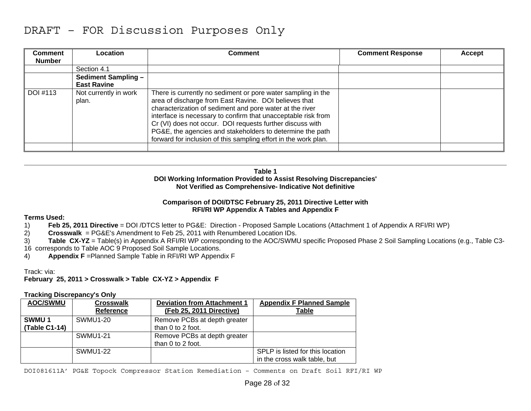| Comment       | <b>Location</b>                | Comment                                                                                                                                                                                                                                                                                                                                                                                                                                         | <b>Comment Response</b> | <b>Accept</b> |
|---------------|--------------------------------|-------------------------------------------------------------------------------------------------------------------------------------------------------------------------------------------------------------------------------------------------------------------------------------------------------------------------------------------------------------------------------------------------------------------------------------------------|-------------------------|---------------|
| <b>Number</b> |                                |                                                                                                                                                                                                                                                                                                                                                                                                                                                 |                         |               |
|               | Section 4.1                    |                                                                                                                                                                                                                                                                                                                                                                                                                                                 |                         |               |
|               | <b>Sediment Sampling -</b>     |                                                                                                                                                                                                                                                                                                                                                                                                                                                 |                         |               |
|               | <b>East Ravine</b>             |                                                                                                                                                                                                                                                                                                                                                                                                                                                 |                         |               |
| DOI #113      | Not currently in work<br>plan. | There is currently no sediment or pore water sampling in the<br>area of discharge from East Ravine. DOI believes that<br>characterization of sediment and pore water at the river<br>interface is necessary to confirm that unacceptable risk from<br>Cr (VI) does not occur. DOI requests further discuss with<br>PG&E, the agencies and stakeholders to determine the path<br>forward for inclusion of this sampling effort in the work plan. |                         |               |
|               |                                |                                                                                                                                                                                                                                                                                                                                                                                                                                                 |                         |               |

**Table 1 DOI Working Information Provided to Assist Resolving Discrepancies' Not Verified as Comprehensive- Indicative Not definitive** 

#### **Comparison of DOI/DTSC February 25, 2011 Directive Letter with RFI/RI WP Appendix A Tables and Appendix F**

#### **Terms Used:**

- 1) **Feb 25, 2011 Directive** = DOI /DTCS letter to PG&E: Direction Proposed Sample Locations (Attachment 1 of Appendix A RFI/RI WP)
- 2) **Crosswalk** = PG&E's Amendment to Feb 25, 2011 with Renumbered Location IDs.
- 3) **Table CX-YZ** = Table(s) in Appendix A RFI/RI WP corresponding to the AOC/SWMU specific Proposed Phase 2 Soil Sampling Locations (e.g., Table C3- 16 corresponds to Table AOC 9 Proposed Soil Sample Locations.
- 4) **Appendix F** = Planned Sample Table in RFI/RI WP Appendix F

Track: via:

**February 25, 2011 > Crosswalk > Table CX-YZ > Appendix F** 

#### **Tracking Discrepancy's Only**

| <b>AOC/SWMU</b>         | <b>Crosswalk</b><br><b>Reference</b> | <b>Deviation from Attachment 1</b><br>(Feb 25, 2011 Directive) | <b>Appendix F Planned Sample</b><br>Table                        |
|-------------------------|--------------------------------------|----------------------------------------------------------------|------------------------------------------------------------------|
| SWMU 1<br>(Table C1-14) | <b>SWMU1-20</b>                      | Remove PCBs at depth greater<br>than 0 to 2 foot.              |                                                                  |
|                         | <b>SWMU1-21</b>                      | Remove PCBs at depth greater<br>than 0 to 2 foot.              |                                                                  |
|                         | <b>SWMU1-22</b>                      |                                                                | SPLP is listed for this location<br>in the cross walk table, but |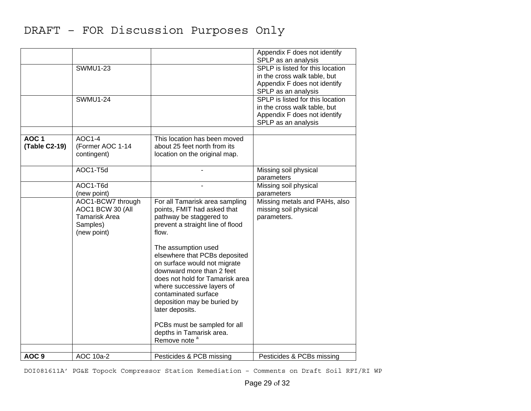|                  |                      |                                  | Appendix F does not identify                            |
|------------------|----------------------|----------------------------------|---------------------------------------------------------|
|                  | <b>SWMU1-23</b>      |                                  | SPLP as an analysis<br>SPLP is listed for this location |
|                  |                      |                                  | in the cross walk table, but                            |
|                  |                      |                                  | Appendix F does not identify                            |
|                  |                      |                                  | SPLP as an analysis                                     |
|                  | <b>SWMU1-24</b>      |                                  | SPLP is listed for this location                        |
|                  |                      |                                  | in the cross walk table, but                            |
|                  |                      |                                  | Appendix F does not identify                            |
|                  |                      |                                  | SPLP as an analysis                                     |
| AOC <sub>1</sub> | $AOC1-4$             | This location has been moved     |                                                         |
| (Table C2-19)    | (Former AOC 1-14     | about 25 feet north from its     |                                                         |
|                  | contingent)          | location on the original map.    |                                                         |
|                  |                      |                                  |                                                         |
|                  | AOC1-T5d             |                                  | Missing soil physical                                   |
|                  |                      |                                  | parameters                                              |
|                  | AOC1-T6d             |                                  | Missing soil physical                                   |
|                  | (new point)          |                                  | parameters                                              |
|                  | AOC1-BCW7 through    | For all Tamarisk area sampling   | Missing metals and PAHs, also                           |
|                  | AOC1 BCW 30 (All     | points, FMIT had asked that      | missing soil physical                                   |
|                  | <b>Tamarisk Area</b> | pathway be staggered to          | parameters.                                             |
|                  | Samples)             | prevent a straight line of flood |                                                         |
|                  | (new point)          | flow.                            |                                                         |
|                  |                      | The assumption used              |                                                         |
|                  |                      | elsewhere that PCBs deposited    |                                                         |
|                  |                      | on surface would not migrate     |                                                         |
|                  |                      | downward more than 2 feet        |                                                         |
|                  |                      | does not hold for Tamarisk area  |                                                         |
|                  |                      | where successive layers of       |                                                         |
|                  |                      | contaminated surface             |                                                         |
|                  |                      | deposition may be buried by      |                                                         |
|                  |                      | later deposits.                  |                                                         |
|                  |                      | PCBs must be sampled for all     |                                                         |
|                  |                      | depths in Tamarisk area.         |                                                         |
|                  |                      | Remove note <sup>a</sup>         |                                                         |
|                  |                      |                                  |                                                         |
| AOC <sub>9</sub> | AOC 10a-2            | Pesticides & PCB missing         | Pesticides & PCBs missing                               |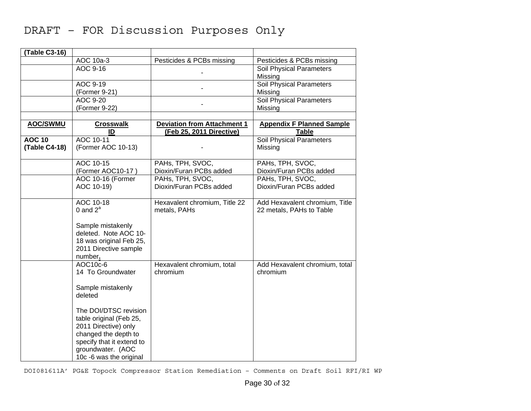| (Table C3-16)                                                             |                                            |
|---------------------------------------------------------------------------|--------------------------------------------|
| AOC 10a-3<br>Pesticides & PCBs missing                                    | Pesticides & PCBs missing                  |
| AOC 9-16                                                                  | Soil Physical Parameters                   |
|                                                                           | Missing                                    |
| AOC 9-19                                                                  | Soil Physical Parameters                   |
| (Former 9-21)                                                             | Missing                                    |
| AOC 9-20                                                                  | <b>Soil Physical Parameters</b>            |
| (Former 9-22)                                                             | Missing                                    |
|                                                                           |                                            |
| <b>AOC/SWMU</b><br><b>Crosswalk</b><br><b>Deviation from Attachment 1</b> | <b>Appendix F Planned Sample</b>           |
| (Feb 25, 2011 Directive)<br>ID                                            | <b>Table</b>                               |
| AOC 10-11<br><b>AOC 10</b>                                                | Soil Physical Parameters                   |
| (Table C4-18)<br>(Former AOC 10-13)                                       | Missing                                    |
|                                                                           |                                            |
| AOC 10-15<br>PAHs, TPH, SVOC,                                             | PAHs, TPH, SVOC,                           |
| (Former AOC10-17)<br>Dioxin/Furan PCBs added                              | Dioxin/Furan PCBs added                    |
| PAHs, TPH, SVOC,<br>AOC 10-16 (Former                                     | PAHs, TPH, SVOC,                           |
| Dioxin/Furan PCBs added<br>AOC 10-19)                                     | Dioxin/Furan PCBs added                    |
|                                                                           |                                            |
| AOC 10-18<br>Hexavalent chromium, Title 22                                | Add Hexavalent chromium, Title             |
| 0 and $2^a$<br>metals, PAHs                                               | 22 metals, PAHs to Table                   |
|                                                                           |                                            |
| Sample mistakenly                                                         |                                            |
| deleted. Note AOC 10-                                                     |                                            |
| 18 was original Feb 25,                                                   |                                            |
| 2011 Directive sample                                                     |                                            |
| number.                                                                   |                                            |
| AOC10c-6<br>Hexavalent chromium, total<br>14 To Groundwater<br>chromium   | Add Hexavalent chromium, total<br>chromium |
|                                                                           |                                            |
| Sample mistakenly                                                         |                                            |
| deleted                                                                   |                                            |
|                                                                           |                                            |
| The DOI/DTSC revision                                                     |                                            |
| table original (Feb 25,                                                   |                                            |
| 2011 Directive) only                                                      |                                            |
| changed the depth to                                                      |                                            |
| specify that it extend to                                                 |                                            |
| groundwater. (AOC                                                         |                                            |
| 10c -6 was the original                                                   |                                            |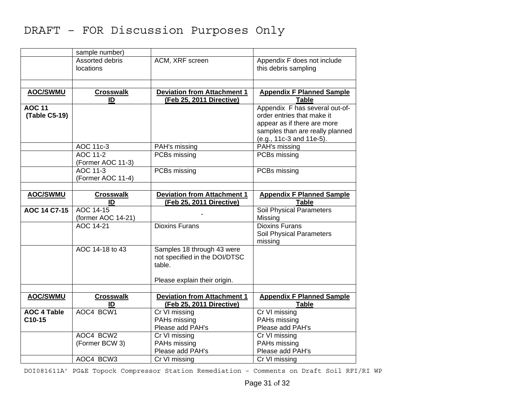|                              | sample number)                      |                                                                |                                                     |
|------------------------------|-------------------------------------|----------------------------------------------------------------|-----------------------------------------------------|
|                              | Assorted debris<br><b>locations</b> | ACM, XRF screen                                                | Appendix F does not include<br>this debris sampling |
| <b>AOC/SWMU</b>              | <b>Crosswalk</b>                    | <b>Deviation from Attachment 1</b>                             | <b>Appendix F Planned Sample</b>                    |
|                              | ID                                  | (Feb 25, 2011 Directive)                                       | Table                                               |
| <b>AOC 11</b>                |                                     |                                                                | Appendix F has several out-of-                      |
| (Table C5-19)                |                                     |                                                                | order entries that make it                          |
|                              |                                     |                                                                | appear as if there are more                         |
|                              |                                     |                                                                | samples than are really planned                     |
|                              |                                     |                                                                | (e.g., 11c-3 and 11e-5).                            |
|                              | AOC 11c-3                           | PAH's missing                                                  | PAH's missing                                       |
|                              | AOC 11-2                            | PCBs missing                                                   | PCBs missing                                        |
|                              | (Former AOC 11-3)                   |                                                                |                                                     |
|                              | AOC 11-3                            | PCBs missing                                                   | PCBs missing                                        |
|                              | (Former AOC 11-4)                   |                                                                |                                                     |
|                              |                                     |                                                                |                                                     |
| <b>AOC/SWMU</b>              | <b>Crosswalk</b><br>ID              | <b>Deviation from Attachment 1</b><br>(Feb 25, 2011 Directive) | <b>Appendix F Planned Sample</b><br><b>Table</b>    |
| AOC 14 C7-15                 | AOC 14-15                           |                                                                | <b>Soil Physical Parameters</b>                     |
|                              | (former AOC 14-21)                  |                                                                | Missing                                             |
|                              | AOC 14-21                           | <b>Dioxins Furans</b>                                          | <b>Dioxins Furans</b><br>Soil Physical Parameters   |
|                              |                                     |                                                                | missing                                             |
|                              | AOC 14-18 to 43                     | Samples 18 through 43 were                                     |                                                     |
|                              |                                     | not specified in the DOI/DTSC                                  |                                                     |
|                              |                                     | table.                                                         |                                                     |
|                              |                                     |                                                                |                                                     |
|                              |                                     | Please explain their origin.                                   |                                                     |
|                              |                                     |                                                                |                                                     |
| <b>AOC/SWMU</b>              | <b>Crosswalk</b><br>ID              | <b>Deviation from Attachment 1</b><br>(Feb 25, 2011 Directive) | <b>Appendix F Planned Sample</b><br><b>Table</b>    |
|                              |                                     |                                                                |                                                     |
| <b>AOC 4 Table</b><br>C10-15 | AOC4 BCW1                           | Cr VI missing<br>PAHs missing                                  | Cr VI missing<br>PAHs missing                       |
|                              |                                     | Please add PAH's                                               | Please add PAH's                                    |
|                              | AOC4 BCW2                           | Cr VI missing                                                  | Cr VI missing                                       |
|                              | (Former BCW 3)                      | PAHs missing                                                   | PAHs missing                                        |
|                              |                                     | Please add PAH's                                               | Please add PAH's                                    |
|                              | AOC4 BCW3                           | Cr VI missing                                                  | Cr VI missing                                       |
|                              |                                     |                                                                |                                                     |